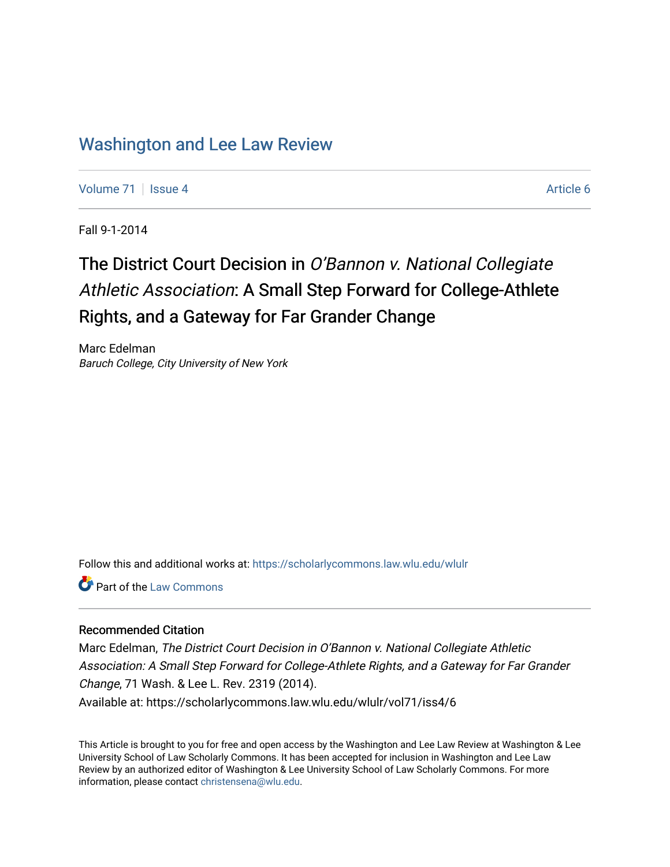# [Washington and Lee Law Review](https://scholarlycommons.law.wlu.edu/wlulr)

[Volume 71](https://scholarlycommons.law.wlu.edu/wlulr/vol71) | [Issue 4](https://scholarlycommons.law.wlu.edu/wlulr/vol71/iss4) Article 6

Fall 9-1-2014

# The District Court Decision in O'Bannon v. National Collegiate Athletic Association: A Small Step Forward for College-Athlete Rights, and a Gateway for Far Grander Change

Marc Edelman Baruch College, City University of New York

Follow this and additional works at: [https://scholarlycommons.law.wlu.edu/wlulr](https://scholarlycommons.law.wlu.edu/wlulr?utm_source=scholarlycommons.law.wlu.edu%2Fwlulr%2Fvol71%2Fiss4%2F6&utm_medium=PDF&utm_campaign=PDFCoverPages) 

**C** Part of the [Law Commons](http://network.bepress.com/hgg/discipline/578?utm_source=scholarlycommons.law.wlu.edu%2Fwlulr%2Fvol71%2Fiss4%2F6&utm_medium=PDF&utm_campaign=PDFCoverPages)

### Recommended Citation

Marc Edelman, The District Court Decision in O'Bannon v. National Collegiate Athletic Association: A Small Step Forward for College-Athlete Rights, and a Gateway for Far Grander Change, 71 Wash. & Lee L. Rev. 2319 (2014). Available at: https://scholarlycommons.law.wlu.edu/wlulr/vol71/iss4/6

This Article is brought to you for free and open access by the Washington and Lee Law Review at Washington & Lee University School of Law Scholarly Commons. It has been accepted for inclusion in Washington and Lee Law Review by an authorized editor of Washington & Lee University School of Law Scholarly Commons. For more information, please contact [christensena@wlu.edu](mailto:christensena@wlu.edu).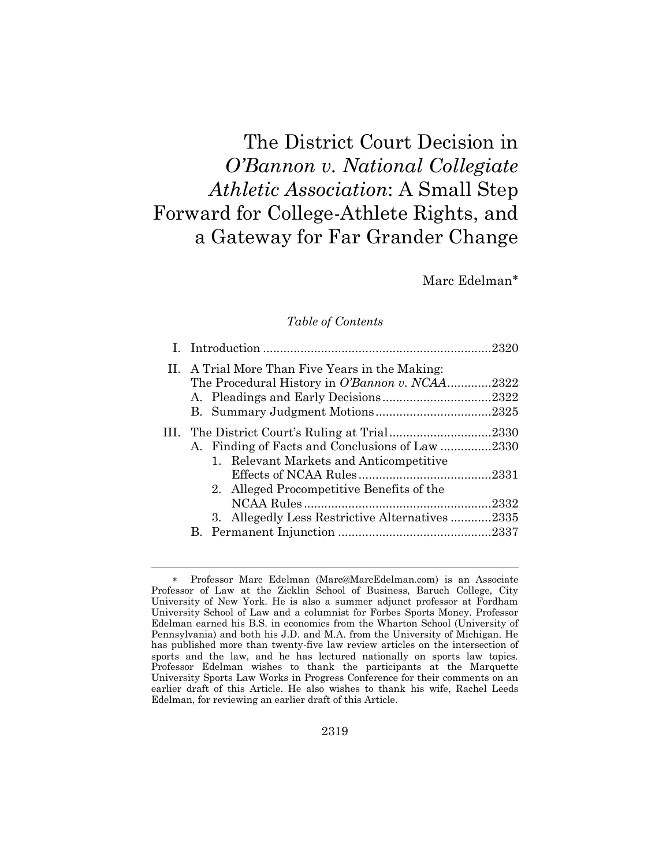# The District Court Decision in *O'Bannon v. National Collegiate Athletic Association*: A Small Step Forward for College-Athlete Rights, and a Gateway for Far Grander Change

Marc Edelman

# *Table of Contents*

| II. A Trial More Than Five Years in the Making: |                                                 |  |
|-------------------------------------------------|-------------------------------------------------|--|
|                                                 | The Procedural History in O'Bannon v. NCAA2322  |  |
|                                                 |                                                 |  |
|                                                 |                                                 |  |
|                                                 |                                                 |  |
|                                                 | A. Finding of Facts and Conclusions of Law 2330 |  |
|                                                 | 1. Relevant Markets and Anticompetitive         |  |
|                                                 |                                                 |  |
|                                                 | 2. Alleged Procompetitive Benefits of the       |  |
|                                                 |                                                 |  |
|                                                 | 3. Allegedly Less Restrictive Alternatives 2335 |  |
|                                                 |                                                 |  |
|                                                 |                                                 |  |

Professor Marc Edelman [\(Marc@MarcEdelman.com\)](mailto:Marc@MarcEdelman.com) is an Associate Professor of Law at the Zicklin School of Business, Baruch College, City University of New York. He is also a summer adjunct professor at Fordham University School of Law and a columnist for Forbes Sports Money. Professor Edelman earned his B.S. in economics from the Wharton School (University of Pennsylvania) and both his J.D. and M.A. from the University of Michigan. He has published more than twenty-five law review articles on the intersection of sports and the law, and he has lectured nationally on sports law topics. Professor Edelman wishes to thank the participants at the Marquette University Sports Law Works in Progress Conference for their comments on an earlier draft of this Article. He also wishes to thank his wife, Rachel Leeds Edelman, for reviewing an earlier draft of this Article.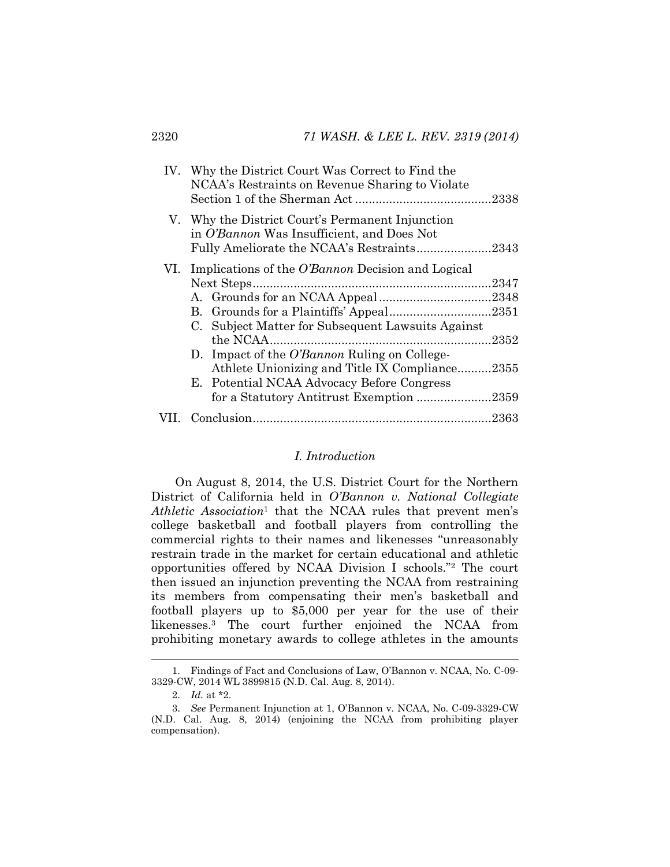| IV. Why the District Court Was Correct to Find the<br>NCAA's Restraints on Revenue Sharing to Violate                                                                                                                                                                                                               |       |
|---------------------------------------------------------------------------------------------------------------------------------------------------------------------------------------------------------------------------------------------------------------------------------------------------------------------|-------|
| V. Why the District Court's Permanent Injunction<br>in O'Bannon Was Insufficient, and Does Not<br>Fully Ameliorate the NCAA's Restraints2343                                                                                                                                                                        |       |
| VI. Implications of the <i>O'Bannon</i> Decision and Logical<br>B. Grounds for a Plaintiffs' Appeal2351<br>C. Subject Matter for Subsequent Lawsuits Against<br>D. Impact of the <i>O'Bannon</i> Ruling on College-<br>Athlete Unionizing and Title IX Compliance2355<br>E. Potential NCAA Advocacy Before Congress | .2352 |
| for a Statutory Antitrust Exemption 2359                                                                                                                                                                                                                                                                            |       |
|                                                                                                                                                                                                                                                                                                                     |       |

#### <span id="page-2-0"></span>*I. Introduction*

On August 8, 2014, the U.S. District Court for the Northern District of California held in *O'Bannon v. National Collegiate Athletic Association*<sup>1</sup> that the NCAA rules that prevent men's college basketball and football players from controlling the commercial rights to their names and likenesses "unreasonably restrain trade in the market for certain educational and athletic opportunities offered by NCAA Division I schools."<sup>2</sup> The court then issued an injunction preventing the NCAA from restraining its members from compensating their men's basketball and football players up to \$5,000 per year for the use of their likenesses.<sup>3</sup> The court further enjoined the NCAA from prohibiting monetary awards to college athletes in the amounts

<sup>1.</sup> Findings of Fact and Conclusions of Law, O'Bannon v. NCAA, No. C-09- 3329-CW, 2014 WL 3899815 (N.D. Cal. Aug. 8, 2014).

<sup>2.</sup> *Id.* at \*2.

<sup>3.</sup> *See* Permanent Injunction at 1, O'Bannon v. NCAA, No. C-09-3329-CW (N.D. Cal. Aug. 8, 2014) (enjoining the NCAA from prohibiting player compensation).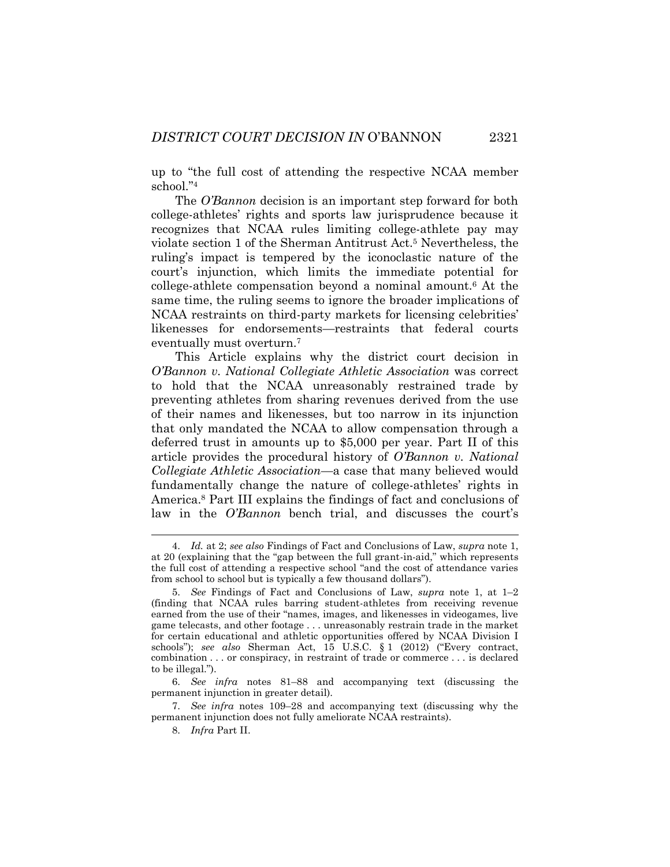up to "the full cost of attending the respective NCAA member school."<sup>4</sup>

The *O'Bannon* decision is an important step forward for both college-athletes' rights and sports law jurisprudence because it recognizes that NCAA rules limiting college-athlete pay may violate section 1 of the Sherman Antitrust Act.<sup>5</sup> Nevertheless, the ruling's impact is tempered by the iconoclastic nature of the court's injunction, which limits the immediate potential for college-athlete compensation beyond a nominal amount.<sup>6</sup> At the same time, the ruling seems to ignore the broader implications of NCAA restraints on third-party markets for licensing celebrities' likenesses for endorsements—restraints that federal courts eventually must overturn.<sup>7</sup>

This Article explains why the district court decision in *O'Bannon v. National Collegiate Athletic Association* was correct to hold that the NCAA unreasonably restrained trade by preventing athletes from sharing revenues derived from the use of their names and likenesses, but too narrow in its injunction that only mandated the NCAA to allow compensation through a deferred trust in amounts up to \$5,000 per year. Part II of this article provides the procedural history of *O'Bannon v. National Collegiate Athletic Association*—a case that many believed would fundamentally change the nature of college-athletes' rights in America.<sup>8</sup> Part III explains the findings of fact and conclusions of law in the *O'Bannon* bench trial, and discusses the court's

<sup>4.</sup> *Id.* at 2; *see also* Findings of Fact and Conclusions of Law, *supra* note [1,](#page-2-0)  at 20 (explaining that the "gap between the full grant-in-aid," which represents the full cost of attending a respective school "and the cost of attendance varies from school to school but is typically a few thousand dollars").

<sup>5.</sup> *See* Findings of Fact and Conclusions of Law, *supra* note [1,](#page-2-0) at 1–2 (finding that NCAA rules barring student-athletes from receiving revenue earned from the use of their "names, images, and likenesses in videogames, live game telecasts, and other footage . . . unreasonably restrain trade in the market for certain educational and athletic opportunities offered by NCAA Division I schools"); *see also* Sherman Act, 15 U.S.C. § 1 (2012) ("Every contract, combination . . . or conspiracy, in restraint of trade or commerce . . . is declared to be illegal.").

<sup>6.</sup> *See infra* notes [81](#page-19-0)–[88](#page-20-0) and accompanying text (discussing the permanent injunction in greater detail).

<sup>7.</sup> *See infra* notes [109](#page-25-0)–28 and accompanying text (discussing why the permanent injunction does not fully ameliorate NCAA restraints).

<sup>8.</sup> *Infra* Part II.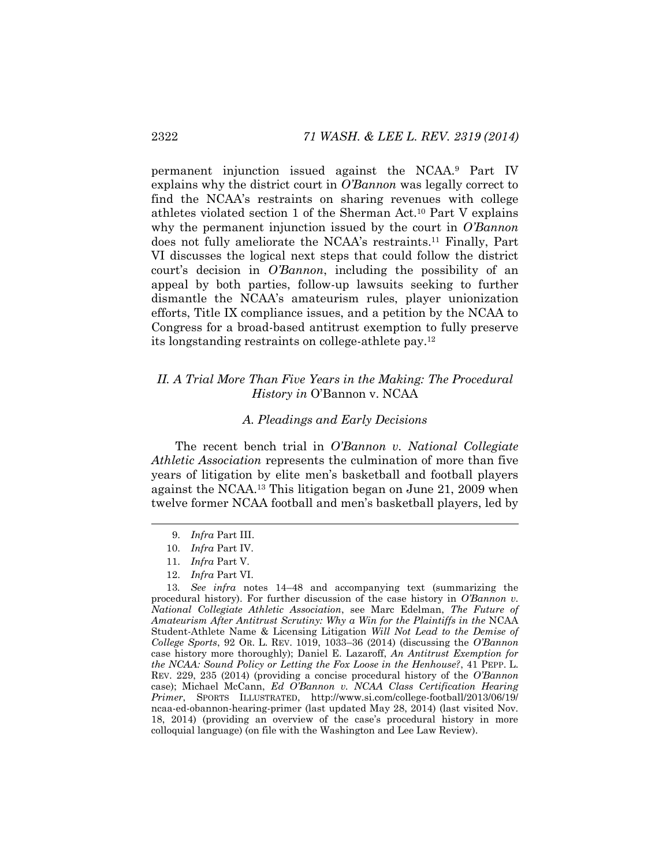permanent injunction issued against the NCAA.<sup>9</sup> Part IV explains why the district court in *O'Bannon* was legally correct to find the NCAA's restraints on sharing revenues with college athletes violated section 1 of the Sherman Act.<sup>10</sup> Part V explains why the permanent injunction issued by the court in *O'Bannon* does not fully ameliorate the NCAA's restraints.<sup>11</sup> Finally, Part VI discusses the logical next steps that could follow the district court's decision in *O'Bannon*, including the possibility of an appeal by both parties, follow-up lawsuits seeking to further dismantle the NCAA's amateurism rules, player unionization efforts, Title IX compliance issues, and a petition by the NCAA to Congress for a broad-based antitrust exemption to fully preserve its longstanding restraints on college-athlete pay.<sup>12</sup>

# *II. A Trial More Than Five Years in the Making: The Procedural History in* O'Bannon v. NCAA

#### <span id="page-4-0"></span>*A. Pleadings and Early Decisions*

The recent bench trial in *O'Bannon v. National Collegiate Athletic Association* represents the culmination of more than five years of litigation by elite men's basketball and football players against the NCAA.<sup>13</sup> This litigation began on June 21, 2009 when twelve former NCAA football and men's basketball players, led by

<sup>9.</sup> *Infra* Part III.

<sup>10.</sup> *Infra* Part IV.

<sup>11.</sup> *Infra* Part V.

<sup>12.</sup> *Infra* Part VI.

<sup>13</sup>*. See infra* notes [14](#page-5-0)–[48](#page-12-0) and accompanying text (summarizing the procedural history). For further discussion of the case history in *O'Bannon v. National Collegiate Athletic Association*, see Marc Edelman, *The Future of Amateurism After Antitrust Scrutiny: Why a Win for the Plaintiffs in the* NCAA Student-Athlete Name & Licensing Litigation *Will Not Lead to the Demise of College Sports*, 92 OR. L. REV. 1019, 1033–36 (2014) (discussing the *O'Bannon* case history more thoroughly); Daniel E. Lazaroff, *An Antitrust Exemption for the NCAA: Sound Policy or Letting the Fox Loose in the Henhouse?*, 41 PEPP. L. REV. 229, 235 (2014) (providing a concise procedural history of the *O'Bannon* case); Michael McCann, *Ed O'Bannon v. NCAA Class Certification Hearing Primer*, SPORTS ILLUSTRATED, http://www.si.com/college-football/2013/06/19/ ncaa-ed-obannon-hearing-primer (last updated May 28, 2014) (last visited Nov. 18, 2014) (providing an overview of the case's procedural history in more colloquial language) (on file with the Washington and Lee Law Review).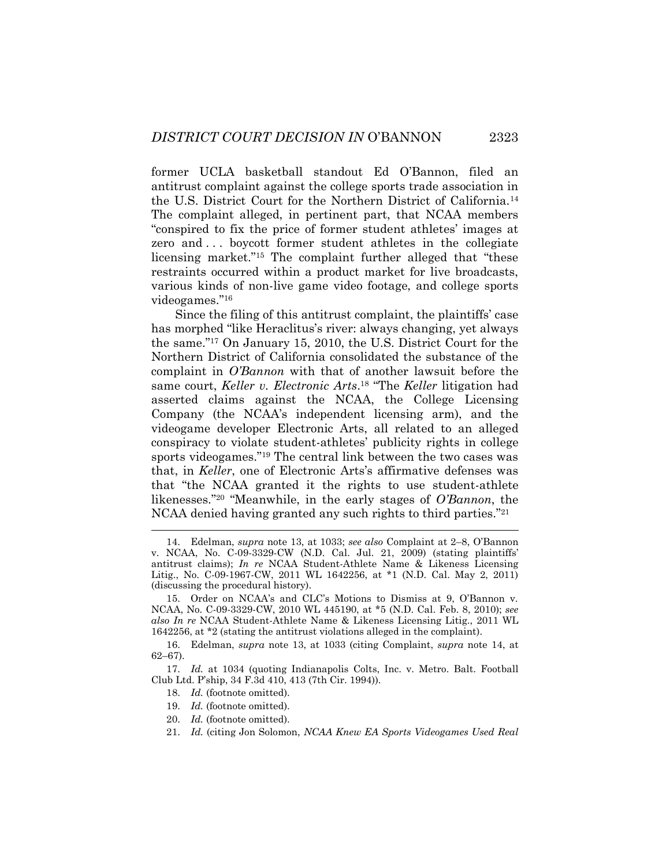<span id="page-5-0"></span>former UCLA basketball standout Ed O'Bannon, filed an antitrust complaint against the college sports trade association in the U.S. District Court for the Northern District of California.<sup>14</sup> The complaint alleged, in pertinent part, that NCAA members "conspired to fix the price of former student athletes' images at zero and . . . boycott former student athletes in the collegiate licensing market."<sup>15</sup> The complaint further alleged that "these restraints occurred within a product market for live broadcasts, various kinds of non-live game video footage, and college sports videogames."<sup>16</sup>

Since the filing of this antitrust complaint, the plaintiffs' case has morphed "like Heraclitus's river: always changing, yet always the same."<sup>17</sup> On January 15, 2010, the U.S. District Court for the Northern District of California consolidated the substance of the complaint in *O'Bannon* with that of another lawsuit before the same court, *Keller v. Electronic Arts*. <sup>18</sup> "The *Keller* litigation had asserted claims against the NCAA, the College Licensing Company (the NCAA's independent licensing arm), and the videogame developer Electronic Arts, all related to an alleged conspiracy to violate student-athletes' publicity rights in college sports videogames."<sup>19</sup> The central link between the two cases was that, in *Keller*, one of Electronic Arts's affirmative defenses was that "the NCAA granted it the rights to use student-athlete likenesses."<sup>20</sup> "Meanwhile, in the early stages of *O'Bannon*, the NCAA denied having granted any such rights to third parties."<sup>21</sup>

18. *Id.* (footnote omitted).

- 19. *Id.* (footnote omitted).
- 20. *Id.* (footnote omitted).

<sup>14.</sup> Edelman, *supra* note [13,](#page-4-0) at 1033; *see also* Complaint at 2–8, O'Bannon v. NCAA, No. C-09-3329-CW (N.D. Cal. Jul. 21, 2009) (stating plaintiffs' antitrust claims); *In re* NCAA Student-Athlete Name & Likeness Licensing Litig., No. C-09-1967-CW, 2011 WL 1642256, at \*1 (N.D. Cal. May 2, 2011) (discussing the procedural history).

<sup>15.</sup> Order on NCAA's and CLC's Motions to Dismiss at 9, O'Bannon v. NCAA, No. C-09-3329-CW, 2010 WL 445190, at \*5 (N.D. Cal. Feb. 8, 2010); *see also In re* NCAA Student-Athlete Name & Likeness Licensing Litig., 2011 WL 1642256, at \*2 (stating the antitrust violations alleged in the complaint).

<sup>16.</sup> Edelman, *supra* note [13,](#page-4-0) at 1033 (citing Complaint, *supra* note [14,](#page-5-0) at 62–67).

<sup>17.</sup> *Id.* at 1034 (quoting Indianapolis Colts, Inc. v. Metro. Balt. Football Club Ltd. P'ship, 34 F.3d 410, 413 (7th Cir. 1994)).

<sup>21.</sup> *Id.* (citing Jon Solomon, *NCAA Knew EA Sports Videogames Used Real*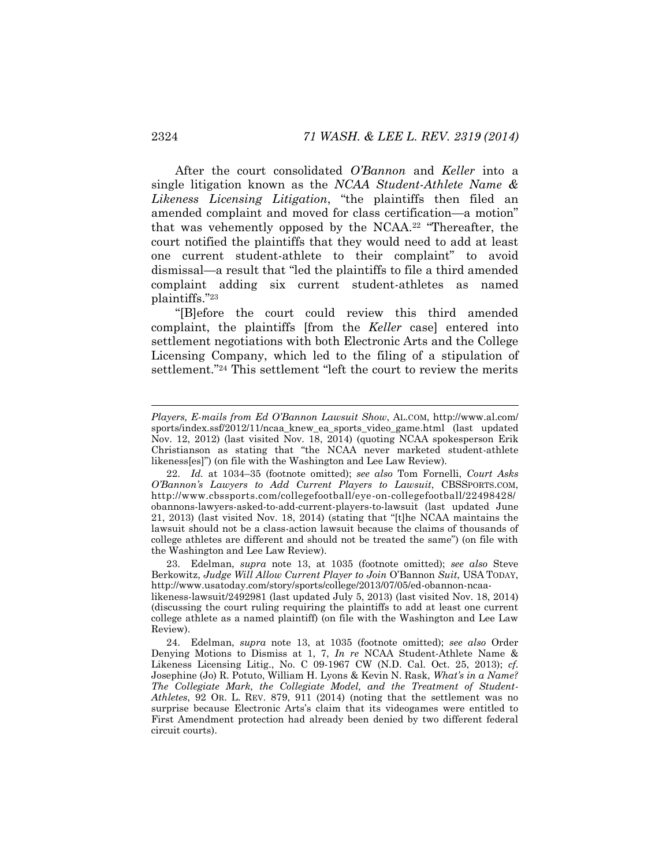After the court consolidated *O'Bannon* and *Keller* into a single litigation known as the *NCAA Student-Athlete Name & Likeness Licensing Litigation*, "the plaintiffs then filed an amended complaint and moved for class certification—a motion" that was vehemently opposed by the NCAA.<sup>22</sup> "Thereafter, the court notified the plaintiffs that they would need to add at least one current student-athlete to their complaint" to avoid dismissal—a result that "led the plaintiffs to file a third amended complaint adding six current student-athletes as named plaintiffs."<sup>23</sup>

"[B]efore the court could review this third amended complaint, the plaintiffs [from the *Keller* case] entered into settlement negotiations with both Electronic Arts and the College Licensing Company, which led to the filing of a stipulation of settlement."<sup>24</sup> This settlement "left the court to review the merits

23. Edelman, *supra* note [13,](#page-4-0) at 1035 (footnote omitted); *see also* Steve Berkowitz, *Judge Will Allow Current Player to Join* O'Bannon *Suit*, USA TODAY, http://www.usatoday.com/story/sports/college/2013/07/05/ed-obannon-ncaa-

likeness-lawsuit/2492981 (last updated July 5, 2013) (last visited Nov. 18, 2014) (discussing the court ruling requiring the plaintiffs to add at least one current college athlete as a named plaintiff) (on file with the Washington and Lee Law Review).

<span id="page-6-0"></span>*Players, E-mails from Ed O'Bannon Lawsuit Show*, AL.COM, http://www.al.com/ sports/index.ssf/2012/11/ncaa\_knew\_ea\_sports\_video\_game.html (last updated Nov. 12, 2012) (last visited Nov. 18, 2014) (quoting NCAA spokesperson Erik Christianson as stating that "the NCAA never marketed student-athlete likeness[es]") (on file with the Washington and Lee Law Review).

<sup>22.</sup> *Id.* at 1034–35 (footnote omitted); *see also* Tom Fornelli, *Court Asks O'Bannon's Lawyers to Add Current Players to Lawsuit*, CBSSPORTS.COM, http://www.cbssports.com/collegefootball/eye-on-collegefootball/22498428/ obannons-lawyers-asked-to-add-current-players-to-lawsuit (last updated June 21, 2013) (last visited Nov. 18, 2014) (stating that "[t]he NCAA maintains the lawsuit should not be a class-action lawsuit because the claims of thousands of college athletes are different and should not be treated the same") (on file with the Washington and Lee Law Review).

<sup>24.</sup> Edelman, *supra* note [13,](#page-4-0) at 1035 (footnote omitted); *see also* Order Denying Motions to Dismiss at 1, 7, *In re* NCAA Student-Athlete Name & Likeness Licensing Litig., No. C 09-1967 CW (N.D. Cal. Oct. 25, 2013); *cf.*  Josephine (Jo) R. Potuto, William H. Lyons & Kevin N. Rask, *What's in a Name? The Collegiate Mark, the Collegiate Model, and the Treatment of Student-Athletes*, 92 OR. L. REV. 879, 911 (2014) (noting that the settlement was no surprise because Electronic Arts's claim that its videogames were entitled to First Amendment protection had already been denied by two different federal circuit courts).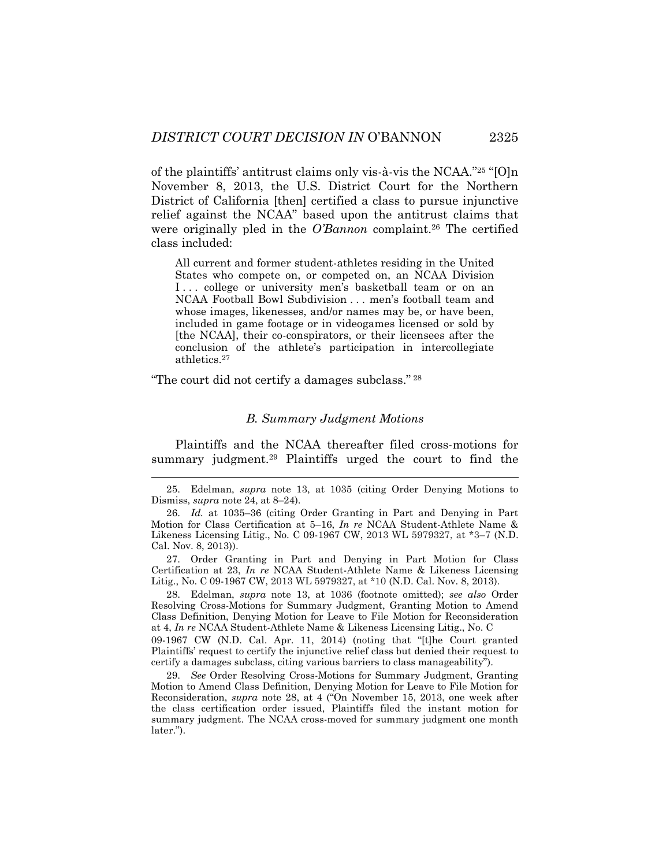of the plaintiffs' antitrust claims only vis-à-vis the NCAA."<sup>25</sup> "[O]n November 8, 2013, the U.S. District Court for the Northern District of California [then] certified a class to pursue injunctive relief against the NCAA" based upon the antitrust claims that were originally pled in the *O'Bannon* complaint.<sup>26</sup> The certified class included:

All current and former student-athletes residing in the United States who compete on, or competed on, an NCAA Division I... college or university men's basketball team or on an NCAA Football Bowl Subdivision . . . men's football team and whose images, likenesses, and/or names may be, or have been, included in game footage or in videogames licensed or sold by [the NCAA], their co-conspirators, or their licensees after the conclusion of the athlete's participation in intercollegiate athletics.<sup>27</sup>

"The court did not certify a damages subclass." <sup>28</sup>

#### <span id="page-7-0"></span>*B. Summary Judgment Motions*

Plaintiffs and the NCAA thereafter filed cross-motions for summary judgment.<sup>29</sup> Plaintiffs urged the court to find the

27. Order Granting in Part and Denying in Part Motion for Class Certification at 23, *In re* NCAA Student-Athlete Name & Likeness Licensing Litig., No. C 09-1967 CW, 2013 WL 5979327, at \*10 (N.D. Cal. Nov. 8, 2013).

28. Edelman, *supra* note [13,](#page-4-0) at 1036 (footnote omitted); *see also* Order Resolving Cross-Motions for Summary Judgment, Granting Motion to Amend Class Definition, Denying Motion for Leave to File Motion for Reconsideration at 4, *In re* NCAA Student-Athlete Name & Likeness Licensing Litig., No. C

09-1967 CW (N.D. Cal. Apr. 11, 2014) (noting that "[t]he Court granted Plaintiffs' request to certify the injunctive relief class but denied their request to certify a damages subclass, citing various barriers to class manageability").

29. *See* Order Resolving Cross-Motions for Summary Judgment, Granting Motion to Amend Class Definition, Denying Motion for Leave to File Motion for Reconsideration, *supra* note [28](#page-7-0), at 4 ("On November 15, 2013, one week after the class certification order issued, Plaintiffs filed the instant motion for summary judgment. The NCAA cross-moved for summary judgment one month later.").

<sup>25.</sup> Edelman, *supra* note [13,](#page-4-0) at 1035 (citing Order Denying Motions to Dismiss, *supra* note [24,](#page-6-0) at 8–24).

<sup>26.</sup> *Id.* at 1035–36 (citing Order Granting in Part and Denying in Part Motion for Class Certification at 5–16, *In re* NCAA Student-Athlete Name & Likeness Licensing Litig., No. C 09-1967 CW, 2013 WL 5979327, at \*3–7 (N.D. Cal. Nov. 8, 2013)).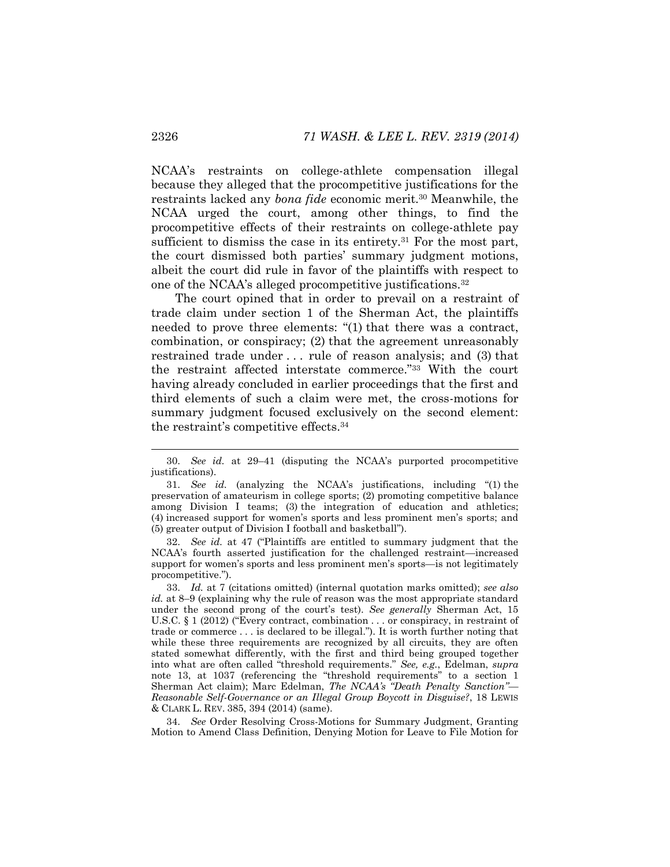NCAA's restraints on college-athlete compensation illegal because they alleged that the procompetitive justifications for the restraints lacked any *bona fide* economic merit.<sup>30</sup> Meanwhile, the NCAA urged the court, among other things, to find the procompetitive effects of their restraints on college-athlete pay sufficient to dismiss the case in its entirety.<sup>31</sup> For the most part, the court dismissed both parties' summary judgment motions, albeit the court did rule in favor of the plaintiffs with respect to one of the NCAA's alleged procompetitive justifications.<sup>32</sup>

<span id="page-8-0"></span>The court opined that in order to prevail on a restraint of trade claim under section 1 of the Sherman Act, the plaintiffs needed to prove three elements: "(1) that there was a contract, combination, or conspiracy; (2) that the agreement unreasonably restrained trade under . . . rule of reason analysis; and (3) that the restraint affected interstate commerce."<sup>33</sup> With the court having already concluded in earlier proceedings that the first and third elements of such a claim were met, the cross-motions for summary judgment focused exclusively on the second element: the restraint's competitive effects.<sup>34</sup>

32. *See id.* at 47 ("Plaintiffs are entitled to summary judgment that the NCAA's fourth asserted justification for the challenged restraint—increased support for women's sports and less prominent men's sports—is not legitimately procompetitive.").

34. *See* Order Resolving Cross-Motions for Summary Judgment, Granting Motion to Amend Class Definition, Denying Motion for Leave to File Motion for

<sup>30.</sup> *See id.* at 29–41 (disputing the NCAA's purported procompetitive justifications).

<sup>31.</sup> *See id.* (analyzing the NCAA's justifications, including "(1) the preservation of amateurism in college sports; (2) promoting competitive balance among Division I teams; (3) the integration of education and athletics; (4) increased support for women's sports and less prominent men's sports; and (5) greater output of Division I football and basketball").

<sup>33.</sup> *Id.* at 7 (citations omitted) (internal quotation marks omitted); *see also id.* at 8–9 (explaining why the rule of reason was the most appropriate standard under the second prong of the court's test). *See generally* Sherman Act, 15 U.S.C. § 1 (2012) ("Every contract, combination . . . or conspiracy, in restraint of trade or commerce . . . is declared to be illegal."). It is worth further noting that while these three requirements are recognized by all circuits, they are often stated somewhat differently, with the first and third being grouped together into what are often called "threshold requirements." *See, e.g.*, Edelman, *supra*  note [13,](#page-4-0) at 1037 (referencing the "threshold requirements" to a section 1 Sherman Act claim); Marc Edelman, *The NCAA's "Death Penalty Sanction"— Reasonable Self-Governance or an Illegal Group Boycott in Disguise?*, 18 LEWIS & CLARK L. REV. 385, 394 (2014) (same).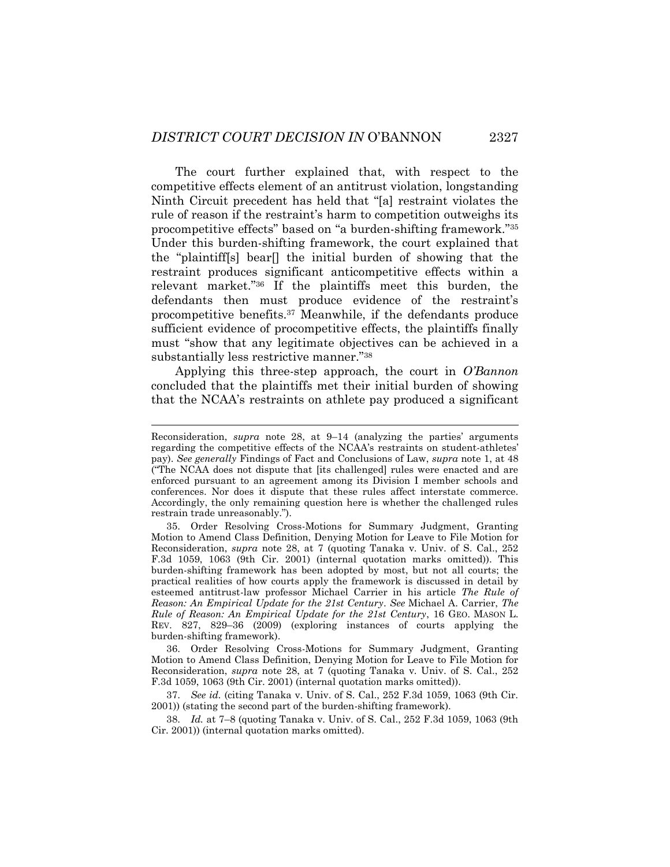<span id="page-9-0"></span>The court further explained that, with respect to the competitive effects element of an antitrust violation, longstanding Ninth Circuit precedent has held that "[a] restraint violates the rule of reason if the restraint's harm to competition outweighs its procompetitive effects" based on "a burden-shifting framework."<sup>35</sup> Under this burden-shifting framework, the court explained that the "plaintiff[s] bear[] the initial burden of showing that the restraint produces significant anticompetitive effects within a relevant market."<sup>36</sup> If the plaintiffs meet this burden, the defendants then must produce evidence of the restraint's procompetitive benefits.<sup>37</sup> Meanwhile, if the defendants produce sufficient evidence of procompetitive effects, the plaintiffs finally must "show that any legitimate objectives can be achieved in a substantially less restrictive manner."<sup>38</sup>

Applying this three-step approach, the court in *O'Bannon*  concluded that the plaintiffs met their initial burden of showing that the NCAA's restraints on athlete pay produced a significant

36. Order Resolving Cross-Motions for Summary Judgment, Granting Motion to Amend Class Definition, Denying Motion for Leave to File Motion for Reconsideration, *supra* note [28,](#page-7-0) at 7 (quoting Tanaka v. Univ. of S. Cal., 252 F.3d 1059, 1063 (9th Cir. 2001) (internal quotation marks omitted)).

37. *See id.* (citing Tanaka v. Univ. of S. Cal., 252 F.3d 1059, 1063 (9th Cir. 2001)) (stating the second part of the burden-shifting framework).

38. *Id.* at 7–8 (quoting Tanaka v. Univ. of S. Cal., 252 F.3d 1059, 1063 (9th Cir. 2001)) (internal quotation marks omitted).

Reconsideration, *supra* note [28,](#page-7-0) at 9–14 (analyzing the parties' arguments regarding the competitive effects of the NCAA's restraints on student-athletes' pay). *See generally* Findings of Fact and Conclusions of Law, *supra* note [1,](#page-2-0) at 48 ("The NCAA does not dispute that [its challenged] rules were enacted and are enforced pursuant to an agreement among its Division I member schools and conferences. Nor does it dispute that these rules affect interstate commerce. Accordingly, the only remaining question here is whether the challenged rules restrain trade unreasonably.").

<sup>35.</sup> Order Resolving Cross-Motions for Summary Judgment, Granting Motion to Amend Class Definition, Denying Motion for Leave to File Motion for Reconsideration, *supra* note [28,](#page-7-0) at 7 (quoting Tanaka v. Univ. of S. Cal., 252 F.3d 1059, 1063 (9th Cir. 2001) (internal quotation marks omitted)). This burden-shifting framework has been adopted by most, but not all courts; the practical realities of how courts apply the framework is discussed in detail by esteemed antitrust-law professor Michael Carrier in his article *The Rule of Reason: An Empirical Update for the 21st Century*. *See* Michael A. Carrier, *The Rule of Reason: An Empirical Update for the 21st Century*, 16 GEO. MASON L. REV. 827, 829–36 (2009) (exploring instances of courts applying the burden-shifting framework).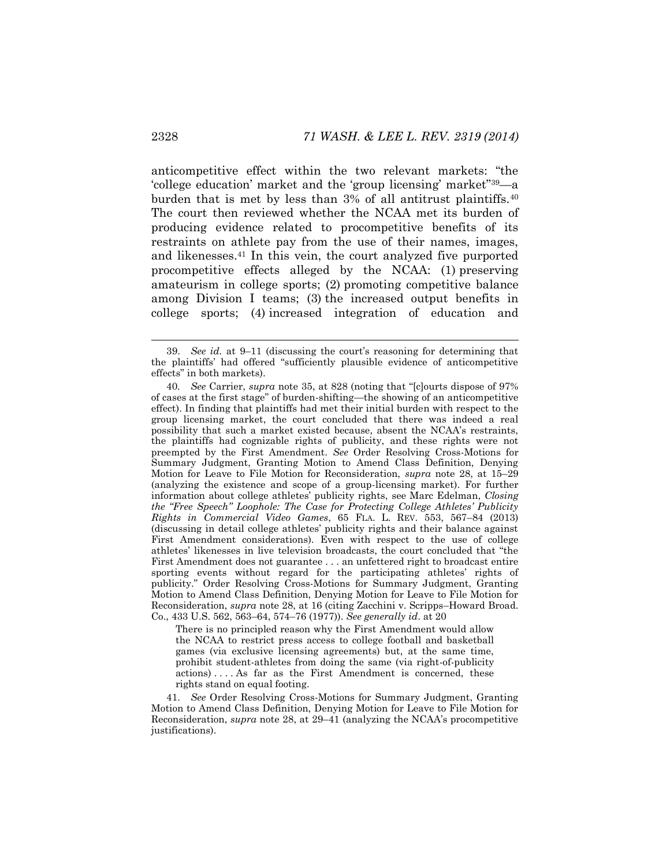anticompetitive effect within the two relevant markets: "the 'college education' market and the 'group licensing' market"39—a burden that is met by less than 3% of all antitrust plaintiffs.<sup>40</sup> The court then reviewed whether the NCAA met its burden of producing evidence related to procompetitive benefits of its restraints on athlete pay from the use of their names, images, and likenesses.<sup>41</sup> In this vein, the court analyzed five purported procompetitive effects alleged by the NCAA: (1) preserving amateurism in college sports; (2) promoting competitive balance among Division I teams; (3) the increased output benefits in college sports; (4) increased integration of education and

There is no principled reason why the First Amendment would allow the NCAA to restrict press access to college football and basketball games (via exclusive licensing agreements) but, at the same time, prohibit student-athletes from doing the same (via right-of-publicity actions) . . . . As far as the First Amendment is concerned, these rights stand on equal footing.

41. *See* Order Resolving Cross-Motions for Summary Judgment, Granting Motion to Amend Class Definition, Denying Motion for Leave to File Motion for Reconsideration, *supra* note [28,](#page-7-0) at 29–41 (analyzing the NCAA's procompetitive justifications).

<sup>39.</sup> *See id.* at 9–11 (discussing the court's reasoning for determining that the plaintiffs' had offered "sufficiently plausible evidence of anticompetitive effects" in both markets).

<sup>40</sup>*. See* Carrier, *supra* note [35](#page-9-0), at 828 (noting that "[c]ourts dispose of 97% of cases at the first stage" of burden-shifting—the showing of an anticompetitive effect). In finding that plaintiffs had met their initial burden with respect to the group licensing market, the court concluded that there was indeed a real possibility that such a market existed because, absent the NCAA's restraints, the plaintiffs had cognizable rights of publicity, and these rights were not preempted by the First Amendment. *See* Order Resolving Cross-Motions for Summary Judgment, Granting Motion to Amend Class Definition, Denying Motion for Leave to File Motion for Reconsideration, *supra* note [28,](#page-7-0) at 15–29 (analyzing the existence and scope of a group-licensing market). For further information about college athletes' publicity rights, see Marc Edelman, *Closing the "Free Speech" Loophole: The Case for Protecting College Athletes' Publicity Rights in Commercial Video Games*, 65 FLA. L. REV. 553, 567–84 (2013) (discussing in detail college athletes' publicity rights and their balance against First Amendment considerations). Even with respect to the use of college athletes' likenesses in live television broadcasts, the court concluded that "the First Amendment does not guarantee . . . an unfettered right to broadcast entire sporting events without regard for the participating athletes' rights of publicity." Order Resolving Cross-Motions for Summary Judgment, Granting Motion to Amend Class Definition, Denying Motion for Leave to File Motion for Reconsideration, *supra* note [28,](#page-7-0) at 16 (citing Zacchini v. Scripps–Howard Broad. Co., 433 U.S. 562, 563–64, 574–76 (1977)). *See generally id*. at 20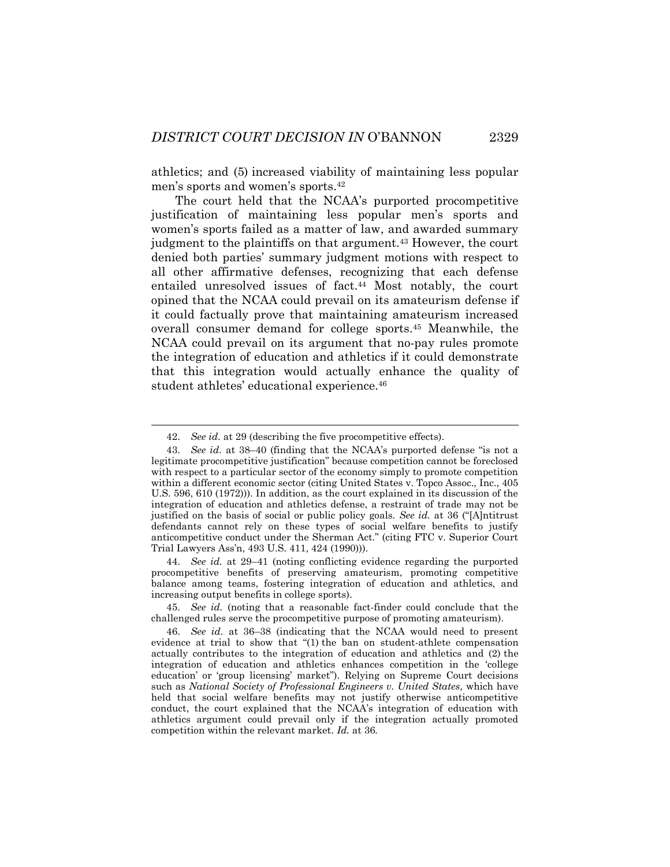athletics; and (5) increased viability of maintaining less popular men's sports and women's sports.<sup>42</sup>

The court held that the NCAA's purported procompetitive justification of maintaining less popular men's sports and women's sports failed as a matter of law, and awarded summary judgment to the plaintiffs on that argument.<sup>43</sup> However, the court denied both parties' summary judgment motions with respect to all other affirmative defenses, recognizing that each defense entailed unresolved issues of fact.<sup>44</sup> Most notably, the court opined that the NCAA could prevail on its amateurism defense if it could factually prove that maintaining amateurism increased overall consumer demand for college sports.<sup>45</sup> Meanwhile, the NCAA could prevail on its argument that no-pay rules promote the integration of education and athletics if it could demonstrate that this integration would actually enhance the quality of student athletes' educational experience.<sup>46</sup>

44. *See id.* at 29–41 (noting conflicting evidence regarding the purported procompetitive benefits of preserving amateurism, promoting competitive balance among teams, fostering integration of education and athletics, and increasing output benefits in college sports).

45. *See id.* (noting that a reasonable fact-finder could conclude that the challenged rules serve the procompetitive purpose of promoting amateurism).

<sup>42.</sup> *See id.* at 29 (describing the five procompetitive effects).

<sup>43.</sup> *See id.* at 38–40 (finding that the NCAA's purported defense "is not a legitimate procompetitive justification" because competition cannot be foreclosed with respect to a particular sector of the economy simply to promote competition within a different economic sector (citing United States v. Topco Assoc., Inc., 405 U.S. 596, 610 (1972))). In addition, as the court explained in its discussion of the integration of education and athletics defense, a restraint of trade may not be justified on the basis of social or public policy goals. *See id.* at 36 ("[A]ntitrust defendants cannot rely on these types of social welfare benefits to justify anticompetitive conduct under the Sherman Act." (citing FTC v. Superior Court Trial Lawyers Ass'n, 493 U.S. 411, 424 (1990))).

<sup>46.</sup> *See id.* at 36–38 (indicating that the NCAA would need to present evidence at trial to show that "(1) the ban on student-athlete compensation actually contributes to the integration of education and athletics and (2) the integration of education and athletics enhances competition in the 'college education' or 'group licensing' market"). Relying on Supreme Court decisions such as *National Society of Professional Engineers v. United States*, which have held that social welfare benefits may not justify otherwise anticompetitive conduct, the court explained that the NCAA's integration of education with athletics argument could prevail only if the integration actually promoted competition within the relevant market. *Id.* at 36*.*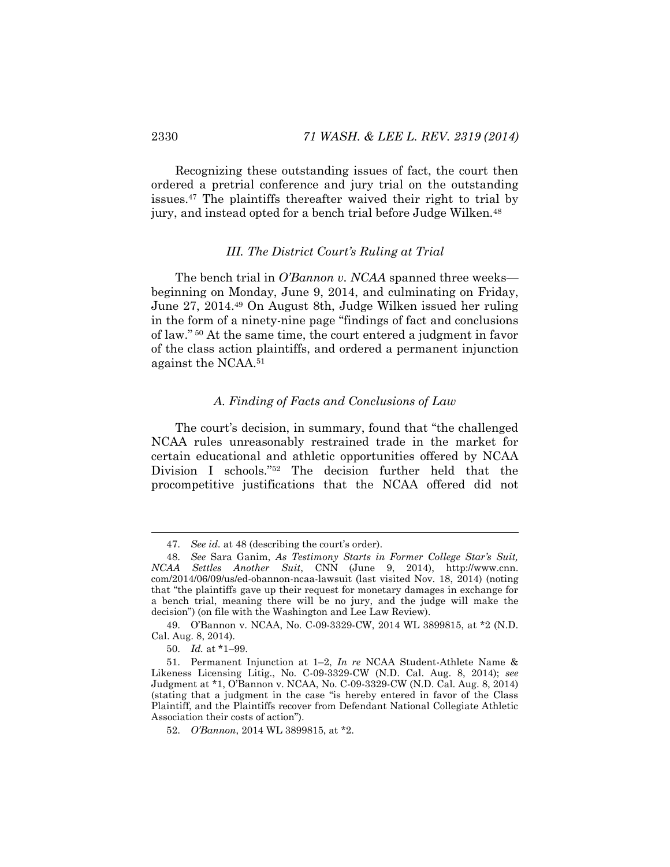Recognizing these outstanding issues of fact, the court then ordered a pretrial conference and jury trial on the outstanding issues.<sup>47</sup> The plaintiffs thereafter waived their right to trial by jury, and instead opted for a bench trial before Judge Wilken.<sup>48</sup>

#### <span id="page-12-0"></span>*III. The District Court's Ruling at Trial*

The bench trial in *O'Bannon v. NCAA* spanned three weeks beginning on Monday, June 9, 2014, and culminating on Friday, June 27, 2014.<sup>49</sup> On August 8th, Judge Wilken issued her ruling in the form of a ninety-nine page "findings of fact and conclusions of law." <sup>50</sup> At the same time, the court entered a judgment in favor of the class action plaintiffs, and ordered a permanent injunction against the NCAA.<sup>51</sup>

#### *A. Finding of Facts and Conclusions of Law*

The court's decision, in summary, found that "the challenged NCAA rules unreasonably restrained trade in the market for certain educational and athletic opportunities offered by NCAA Division I schools."<sup>52</sup> The decision further held that the procompetitive justifications that the NCAA offered did not

l

<sup>47.</sup> *See id.* at 48 (describing the court's order).

<sup>48.</sup> *See* Sara Ganim, *As Testimony Starts in Former College Star's Suit, NCAA Settles Another Suit*, CNN (June 9, 2014), http://www.cnn. com/2014/06/09/us/ed-obannon-ncaa-lawsuit (last visited Nov. 18, 2014) (noting that "the plaintiffs gave up their request for monetary damages in exchange for a bench trial, meaning there will be no jury, and the judge will make the decision") (on file with the Washington and Lee Law Review).

<sup>49.</sup> O'Bannon v. NCAA, No. C-09-3329-CW, 2014 WL 3899815, at \*2 (N.D. Cal. Aug. 8, 2014).

<sup>50.</sup> *Id.* at \*1–99.

<sup>51.</sup> Permanent Injunction at 1–2, *In re* NCAA Student-Athlete Name & Likeness Licensing Litig., No. C-09-3329-CW (N.D. Cal. Aug. 8, 2014); *see*  Judgment at \*1, O'Bannon v. NCAA, No. C-09-3329-CW (N.D. Cal. Aug. 8, 2014) (stating that a judgment in the case "is hereby entered in favor of the Class Plaintiff, and the Plaintiffs recover from Defendant National Collegiate Athletic Association their costs of action").

<sup>52.</sup> *O'Bannon*, 2014 WL 3899815, at \*2.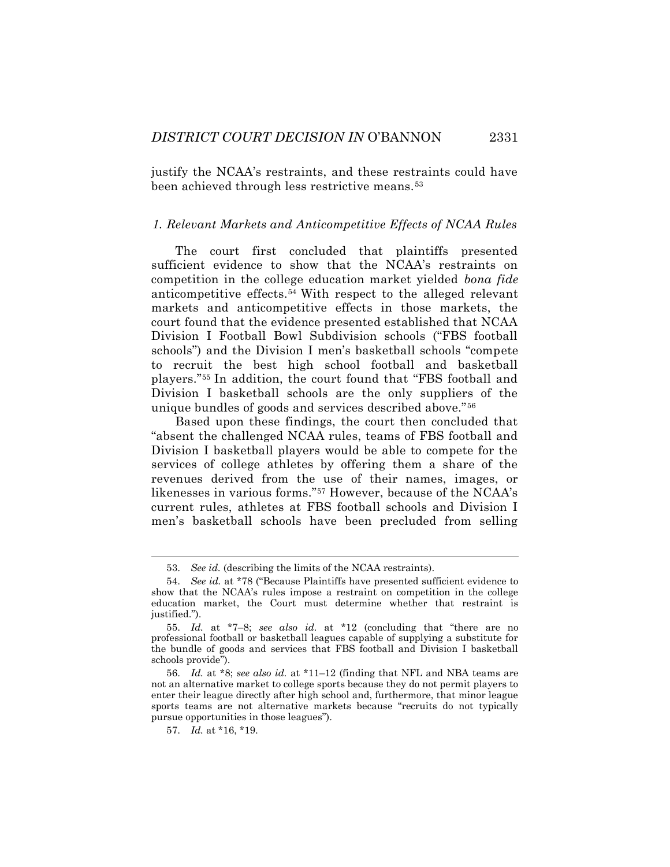justify the NCAA's restraints, and these restraints could have been achieved through less restrictive means.<sup>53</sup>

#### *1. Relevant Markets and Anticompetitive Effects of NCAA Rules*

The court first concluded that plaintiffs presented sufficient evidence to show that the NCAA's restraints on competition in the college education market yielded *bona fide* anticompetitive effects.<sup>54</sup> With respect to the alleged relevant markets and anticompetitive effects in those markets, the court found that the evidence presented established that NCAA Division I Football Bowl Subdivision schools ("FBS football schools") and the Division I men's basketball schools "compete to recruit the best high school football and basketball players."<sup>55</sup> In addition, the court found that "FBS football and Division I basketball schools are the only suppliers of the unique bundles of goods and services described above."<sup>56</sup>

Based upon these findings, the court then concluded that "absent the challenged NCAA rules, teams of FBS football and Division I basketball players would be able to compete for the services of college athletes by offering them a share of the revenues derived from the use of their names, images, or likenesses in various forms."<sup>57</sup> However, because of the NCAA's current rules, athletes at FBS football schools and Division I men's basketball schools have been precluded from selling

<sup>53.</sup> *See id.* (describing the limits of the NCAA restraints).

<sup>54.</sup> *See id.* at \*78 ("Because Plaintiffs have presented sufficient evidence to show that the NCAA's rules impose a restraint on competition in the college education market, the Court must determine whether that restraint is justified.").

<sup>55.</sup> *Id.* at \*7–8; *see also id.* at \*12 (concluding that "there are no professional football or basketball leagues capable of supplying a substitute for the bundle of goods and services that FBS football and Division I basketball schools provide").

<sup>56.</sup> *Id.* at \*8; *see also id.* at \*11–12 (finding that NFL and NBA teams are not an alternative market to college sports because they do not permit players to enter their league directly after high school and, furthermore, that minor league sports teams are not alternative markets because "recruits do not typically pursue opportunities in those leagues").

<sup>57.</sup> *Id.* at \*16, \*19.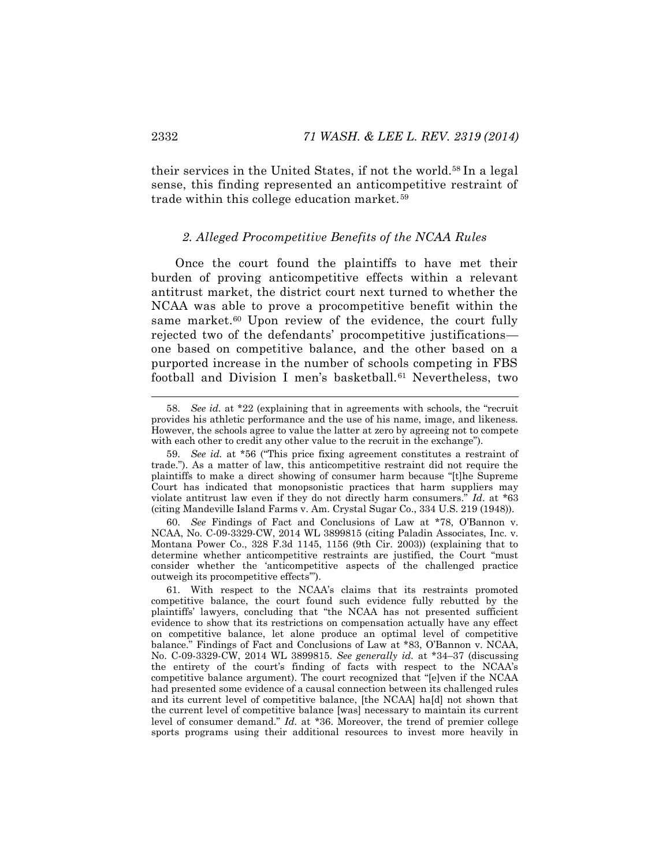their services in the United States, if not the world.<sup>58</sup> In a legal sense, this finding represented an anticompetitive restraint of trade within this college education market.<sup>59</sup>

#### *2. Alleged Procompetitive Benefits of the NCAA Rules*

Once the court found the plaintiffs to have met their burden of proving anticompetitive effects within a relevant antitrust market, the district court next turned to whether the NCAA was able to prove a procompetitive benefit within the same market.<sup>60</sup> Upon review of the evidence, the court fully rejected two of the defendants' procompetitive justifications one based on competitive balance, and the other based on a purported increase in the number of schools competing in FBS football and Division I men's basketball.<sup>61</sup> Nevertheless, two

<sup>58.</sup> *See id.* at \*22 (explaining that in agreements with schools, the "recruit provides his athletic performance and the use of his name, image, and likeness. However, the schools agree to value the latter at zero by agreeing not to compete with each other to credit any other value to the recruit in the exchange").

<sup>59.</sup> *See id.* at \*56 ("This price fixing agreement constitutes a restraint of trade."). As a matter of law, this anticompetitive restraint did not require the plaintiffs to make a direct showing of consumer harm because "[t]he Supreme Court has indicated that monopsonistic practices that harm suppliers may violate antitrust law even if they do not directly harm consumers." *Id*. at \*63 (citing Mandeville Island Farms v. Am. Crystal Sugar Co., 334 U.S. 219 (1948)).

<sup>60.</sup> *See* Findings of Fact and Conclusions of Law at \*78, O'Bannon v. NCAA, No. C-09-3329-CW, 2014 WL 3899815 (citing Paladin Associates, Inc. v. Montana Power Co., 328 F.3d 1145, 1156 (9th Cir. 2003)) (explaining that to determine whether anticompetitive restraints are justified, the Court "must consider whether the 'anticompetitive aspects of the challenged practice outweigh its procompetitive effects'").

<sup>61.</sup> With respect to the NCAA's claims that its restraints promoted competitive balance, the court found such evidence fully rebutted by the plaintiffs' lawyers, concluding that "the NCAA has not presented sufficient evidence to show that its restrictions on compensation actually have any effect on competitive balance, let alone produce an optimal level of competitive balance." Findings of Fact and Conclusions of Law at \*83, O'Bannon v. NCAA, No. C-09-3329-CW, 2014 WL 3899815. *See generally id.* at \*34–37 (discussing the entirety of the court's finding of facts with respect to the NCAA's competitive balance argument). The court recognized that "[e]ven if the NCAA had presented some evidence of a causal connection between its challenged rules and its current level of competitive balance, [the NCAA] ha[d] not shown that the current level of competitive balance [was] necessary to maintain its current level of consumer demand." *Id.* at \*36. Moreover, the trend of premier college sports programs using their additional resources to invest more heavily in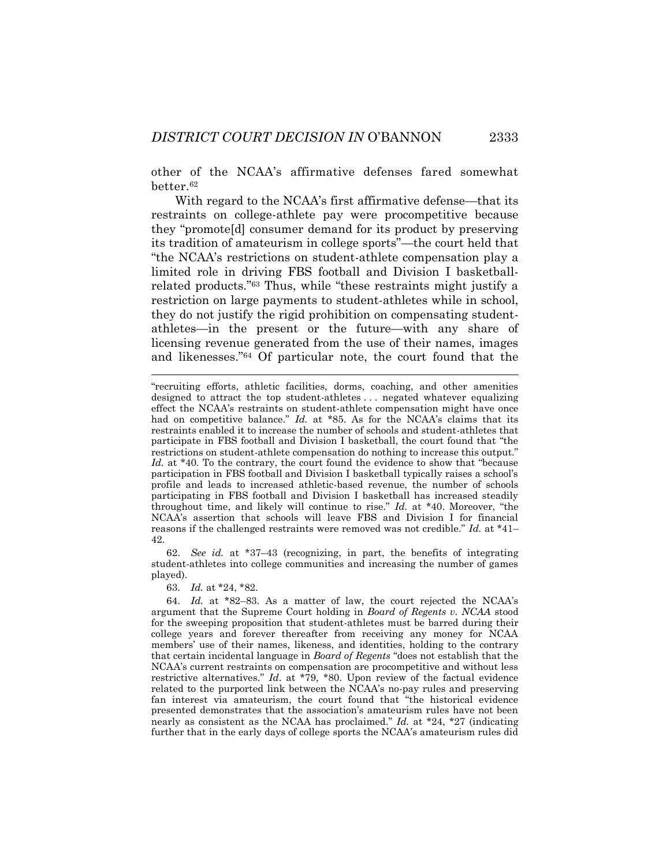other of the NCAA's affirmative defenses fared somewhat better.<sup>62</sup>

With regard to the NCAA's first affirmative defense—that its restraints on college-athlete pay were procompetitive because they "promote[d] consumer demand for its product by preserving its tradition of amateurism in college sports"—the court held that "the NCAA's restrictions on student-athlete compensation play a limited role in driving FBS football and Division I basketballrelated products."<sup>63</sup> Thus, while "these restraints might justify a restriction on large payments to student-athletes while in school, they do not justify the rigid prohibition on compensating studentathletes—in the present or the future—with any share of licensing revenue generated from the use of their names, images and likenesses."<sup>64</sup> Of particular note, the court found that the

62. *See id.* at \*37–43 (recognizing, in part, the benefits of integrating student-athletes into college communities and increasing the number of games played).

63. *Id.* at \*24, \*82.

l

64. *Id.* at \*82–83. As a matter of law, the court rejected the NCAA's argument that the Supreme Court holding in *Board of Regents v. NCAA* stood for the sweeping proposition that student-athletes must be barred during their college years and forever thereafter from receiving any money for NCAA members' use of their names, likeness, and identities, holding to the contrary that certain incidental language in *Board of Regents* "does not establish that the NCAA's current restraints on compensation are procompetitive and without less restrictive alternatives." *Id*. at \*79, \*80. Upon review of the factual evidence related to the purported link between the NCAA's no-pay rules and preserving fan interest via amateurism, the court found that "the historical evidence presented demonstrates that the association's amateurism rules have not been nearly as consistent as the NCAA has proclaimed." *Id.* at \*24, \*27 (indicating further that in the early days of college sports the NCAA's amateurism rules did

<sup>&</sup>quot;recruiting efforts, athletic facilities, dorms, coaching, and other amenities designed to attract the top student-athletes . . . negated whatever equalizing effect the NCAA's restraints on student-athlete compensation might have once had on competitive balance." *Id.* at \*85. As for the NCAA's claims that its restraints enabled it to increase the number of schools and student-athletes that participate in FBS football and Division I basketball, the court found that "the restrictions on student-athlete compensation do nothing to increase this output." Id. at \*40. To the contrary, the court found the evidence to show that "because participation in FBS football and Division I basketball typically raises a school's profile and leads to increased athletic-based revenue, the number of schools participating in FBS football and Division I basketball has increased steadily throughout time, and likely will continue to rise." *Id.* at \*40. Moreover, "the NCAA's assertion that schools will leave FBS and Division I for financial reasons if the challenged restraints were removed was not credible." *Id.* at \*41– 42.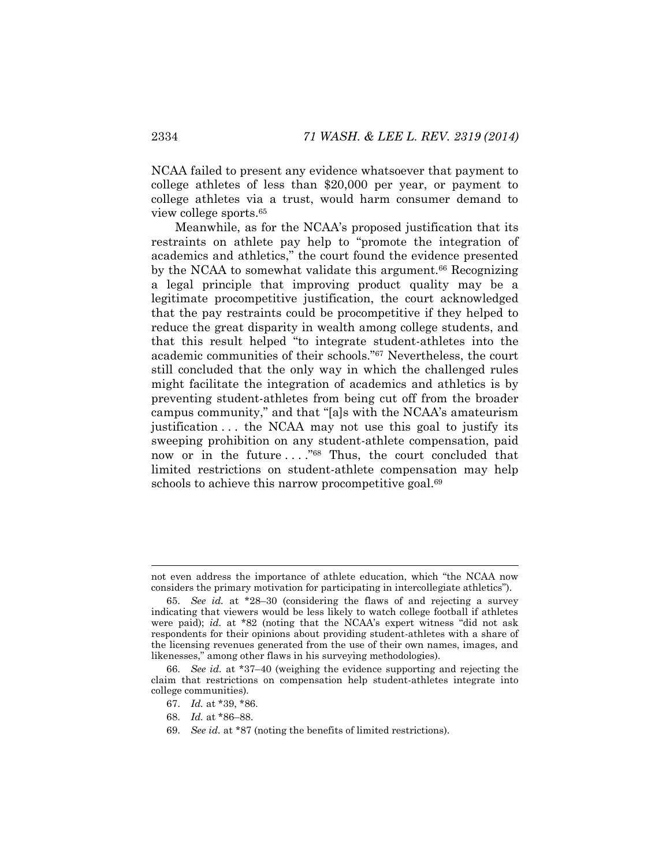NCAA failed to present any evidence whatsoever that payment to college athletes of less than \$20,000 per year, or payment to college athletes via a trust, would harm consumer demand to view college sports.<sup>65</sup>

Meanwhile, as for the NCAA's proposed justification that its restraints on athlete pay help to "promote the integration of academics and athletics," the court found the evidence presented by the NCAA to somewhat validate this argument.<sup>66</sup> Recognizing a legal principle that improving product quality may be a legitimate procompetitive justification, the court acknowledged that the pay restraints could be procompetitive if they helped to reduce the great disparity in wealth among college students, and that this result helped "to integrate student-athletes into the academic communities of their schools."<sup>67</sup> Nevertheless, the court still concluded that the only way in which the challenged rules might facilitate the integration of academics and athletics is by preventing student-athletes from being cut off from the broader campus community," and that "[a]s with the NCAA's amateurism justification . . . the NCAA may not use this goal to justify its sweeping prohibition on any student-athlete compensation, paid now or in the future ...."<sup>68</sup> Thus, the court concluded that limited restrictions on student-athlete compensation may help schools to achieve this narrow procompetitive goal.<sup>69</sup>

l

not even address the importance of athlete education, which "the NCAA now considers the primary motivation for participating in intercollegiate athletics").

<sup>65.</sup> *See id.* at \*28–30 (considering the flaws of and rejecting a survey indicating that viewers would be less likely to watch college football if athletes were paid); *id.* at \*82 (noting that the NCAA's expert witness "did not ask respondents for their opinions about providing student-athletes with a share of the licensing revenues generated from the use of their own names, images, and likenesses," among other flaws in his surveying methodologies).

<sup>66.</sup> *See id.* at \*37–40 (weighing the evidence supporting and rejecting the claim that restrictions on compensation help student-athletes integrate into college communities).

<sup>67.</sup> *Id.* at \*39, \*86.

<sup>68.</sup> *Id.* at \*86–88.

<sup>69.</sup> *See id.* at \*87 (noting the benefits of limited restrictions).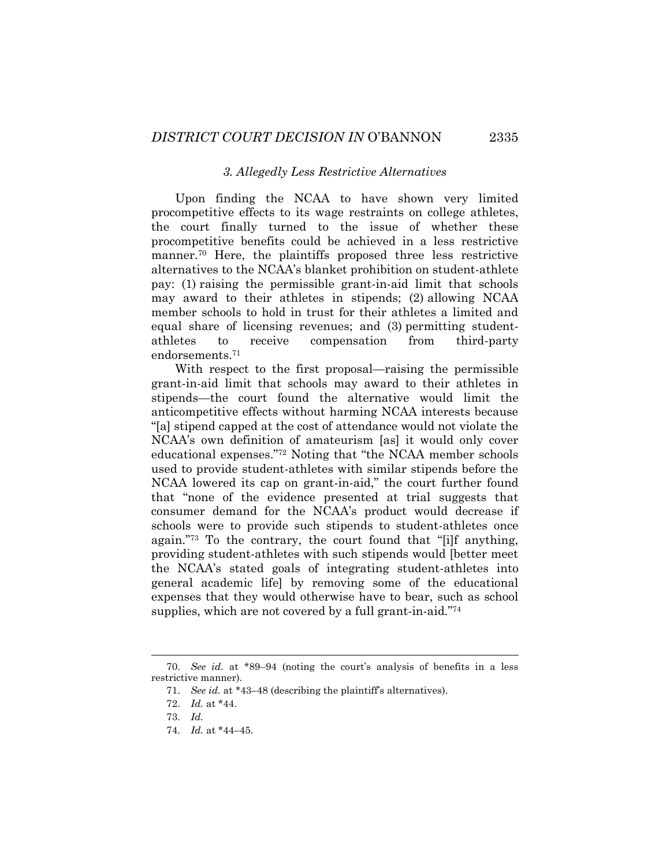#### *3. Allegedly Less Restrictive Alternatives*

Upon finding the NCAA to have shown very limited procompetitive effects to its wage restraints on college athletes, the court finally turned to the issue of whether these procompetitive benefits could be achieved in a less restrictive manner.<sup>70</sup> Here, the plaintiffs proposed three less restrictive alternatives to the NCAA's blanket prohibition on student-athlete pay: (1) raising the permissible grant-in-aid limit that schools may award to their athletes in stipends; (2) allowing NCAA member schools to hold in trust for their athletes a limited and equal share of licensing revenues; and (3) permitting studentathletes to receive compensation from third-party endorsements.<sup>71</sup>

With respect to the first proposal—raising the permissible grant-in-aid limit that schools may award to their athletes in stipends—the court found the alternative would limit the anticompetitive effects without harming NCAA interests because "[a] stipend capped at the cost of attendance would not violate the NCAA's own definition of amateurism [as] it would only cover educational expenses."<sup>72</sup> Noting that "the NCAA member schools used to provide student-athletes with similar stipends before the NCAA lowered its cap on grant-in-aid," the court further found that "none of the evidence presented at trial suggests that consumer demand for the NCAA's product would decrease if schools were to provide such stipends to student-athletes once again."<sup>73</sup> To the contrary, the court found that "[i]f anything, providing student-athletes with such stipends would [better meet the NCAA's stated goals of integrating student-athletes into general academic life] by removing some of the educational expenses that they would otherwise have to bear, such as school supplies, which are not covered by a full grant-in-aid."<sup>74</sup>

<sup>70.</sup> *See id.* at \*89–94 (noting the court's analysis of benefits in a less restrictive manner).

<sup>71.</sup> *See id.* at \*43–48 (describing the plaintiff's alternatives).

<sup>72.</sup> *Id.* at \*44.

<sup>73.</sup> *Id.*

<sup>74.</sup> *Id.* at \*44–45.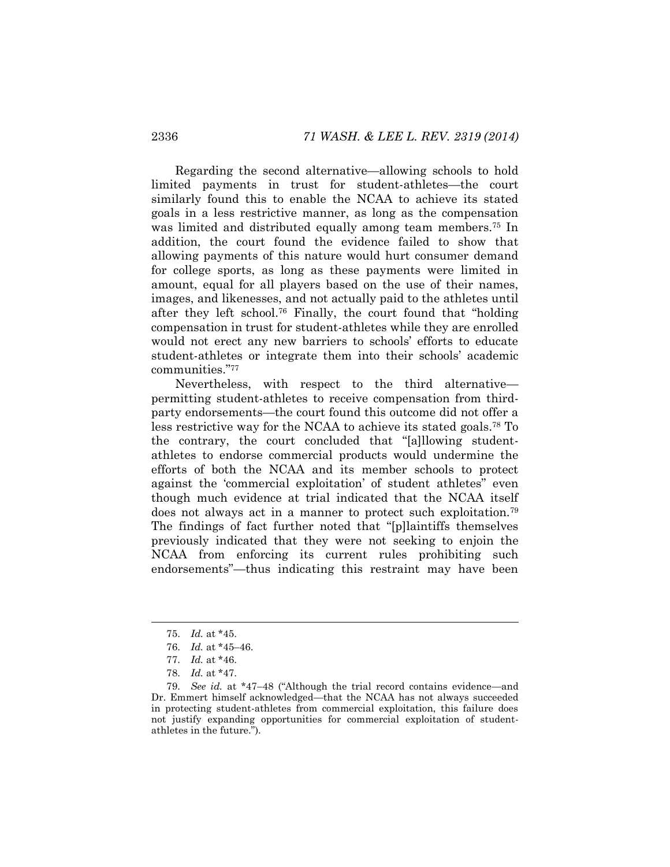Regarding the second alternative—allowing schools to hold limited payments in trust for student-athletes—the court similarly found this to enable the NCAA to achieve its stated goals in a less restrictive manner, as long as the compensation was limited and distributed equally among team members.<sup>75</sup> In addition, the court found the evidence failed to show that allowing payments of this nature would hurt consumer demand for college sports, as long as these payments were limited in amount, equal for all players based on the use of their names, images, and likenesses, and not actually paid to the athletes until after they left school.<sup>76</sup> Finally, the court found that "holding compensation in trust for student-athletes while they are enrolled would not erect any new barriers to schools' efforts to educate student-athletes or integrate them into their schools' academic communities."<sup>77</sup>

Nevertheless, with respect to the third alternative permitting student-athletes to receive compensation from thirdparty endorsements—the court found this outcome did not offer a less restrictive way for the NCAA to achieve its stated goals.<sup>78</sup> To the contrary, the court concluded that "[a]llowing studentathletes to endorse commercial products would undermine the efforts of both the NCAA and its member schools to protect against the 'commercial exploitation' of student athletes" even though much evidence at trial indicated that the NCAA itself does not always act in a manner to protect such exploitation.<sup>79</sup> The findings of fact further noted that "[p]laintiffs themselves previously indicated that they were not seeking to enjoin the NCAA from enforcing its current rules prohibiting such endorsements"—thus indicating this restraint may have been

<sup>75.</sup> *Id.* at \*45.

<sup>76.</sup> *Id.* at \*45–46.

<sup>77.</sup> *Id.* at \*46.

<sup>78.</sup> *Id.* at \*47.

<sup>79.</sup> *See id.* at \*47–48 ("Although the trial record contains evidence—and Dr. Emmert himself acknowledged—that the NCAA has not always succeeded in protecting student-athletes from commercial exploitation, this failure does not justify expanding opportunities for commercial exploitation of studentathletes in the future.").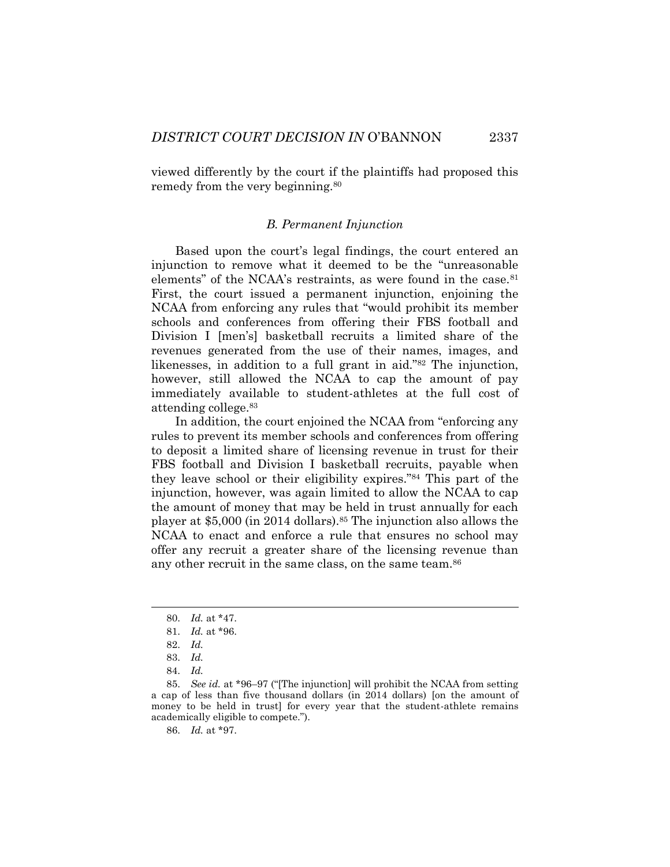viewed differently by the court if the plaintiffs had proposed this remedy from the very beginning.<sup>80</sup>

#### <span id="page-19-0"></span>*B. Permanent Injunction*

Based upon the court's legal findings, the court entered an injunction to remove what it deemed to be the "unreasonable elements" of the NCAA's restraints, as were found in the case. $81$ First, the court issued a permanent injunction, enjoining the NCAA from enforcing any rules that "would prohibit its member schools and conferences from offering their FBS football and Division I [men's] basketball recruits a limited share of the revenues generated from the use of their names, images, and likenesses, in addition to a full grant in aid."<sup>82</sup> The injunction, however, still allowed the NCAA to cap the amount of pay immediately available to student-athletes at the full cost of attending college.<sup>83</sup>

In addition, the court enjoined the NCAA from "enforcing any rules to prevent its member schools and conferences from offering to deposit a limited share of licensing revenue in trust for their FBS football and Division I basketball recruits, payable when they leave school or their eligibility expires."<sup>84</sup> This part of the injunction, however, was again limited to allow the NCAA to cap the amount of money that may be held in trust annually for each player at \$5,000 (in 2014 dollars).<sup>85</sup> The injunction also allows the NCAA to enact and enforce a rule that ensures no school may offer any recruit a greater share of the licensing revenue than any other recruit in the same class, on the same team.<sup>86</sup>

84. *Id.*

86. *Id.* at \*97.

<sup>80.</sup> *Id.* at \*47.

<sup>81.</sup> *Id.* at \*96.

<sup>82.</sup> *Id.*

<sup>83.</sup> *Id.*

<sup>85.</sup> *See id.* at \*96–97 ("[The injunction] will prohibit the NCAA from setting a cap of less than five thousand dollars (in 2014 dollars) [on the amount of money to be held in trust] for every year that the student-athlete remains academically eligible to compete.").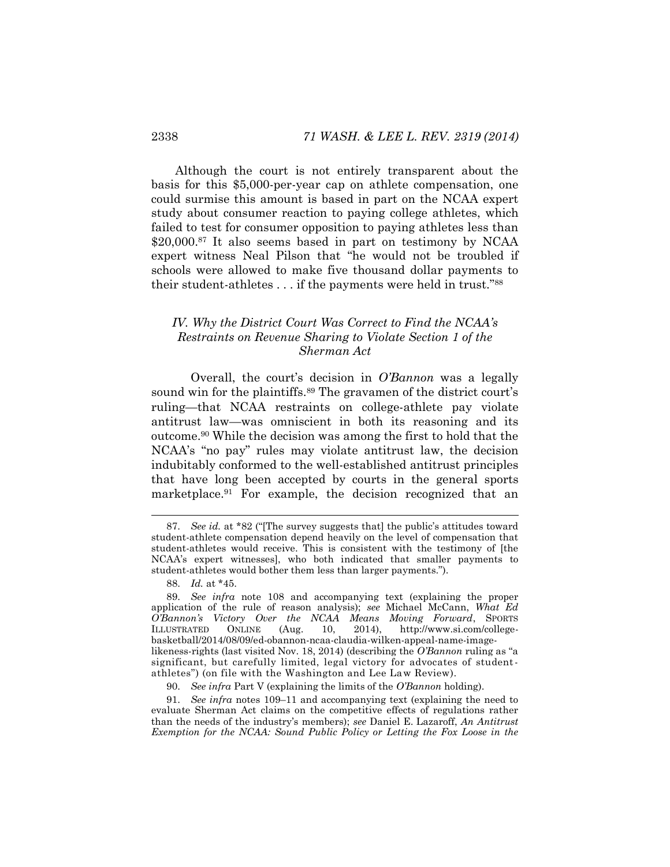Although the court is not entirely transparent about the basis for this \$5,000-per-year cap on athlete compensation, one could surmise this amount is based in part on the NCAA expert study about consumer reaction to paying college athletes, which failed to test for consumer opposition to paying athletes less than \$20,000.<sup>87</sup> It also seems based in part on testimony by NCAA expert witness Neal Pilson that "he would not be troubled if schools were allowed to make five thousand dollar payments to their student-athletes . . . if the payments were held in trust."<sup>88</sup>

# <span id="page-20-2"></span><span id="page-20-0"></span>*IV. Why the District Court Was Correct to Find the NCAA's Restraints on Revenue Sharing to Violate Section 1 of the Sherman Act*

Overall, the court's decision in *O'Bannon* was a legally sound win for the plaintiffs.<sup>89</sup> The gravamen of the district court's ruling*—*that NCAA restraints on college-athlete pay violate antitrust law—was omniscient in both its reasoning and its outcome.<sup>90</sup> While the decision was among the first to hold that the NCAA's "no pay" rules may violate antitrust law, the decision indubitably conformed to the well-established antitrust principles that have long been accepted by courts in the general sports marketplace.<sup>91</sup> For example, the decision recognized that an

<span id="page-20-1"></span><sup>87.</sup> *See id.* at \*82 ("[The survey suggests that] the public's attitudes toward student-athlete compensation depend heavily on the level of compensation that student-athletes would receive. This is consistent with the testimony of [the NCAA's expert witnesses], who both indicated that smaller payments to student-athletes would bother them less than larger payments.").

<sup>88.</sup> *Id.* at \*45.

<sup>89.</sup> *See infra* note [108](#page-25-1) and accompanying text (explaining the proper application of the rule of reason analysis); *see* Michael McCann, *What Ed O'Bannon's Victory Over the NCAA Means Moving Forward*, SPORTS ILLUSTRATED ONLINE (Aug. 10, 2014), http://www.si.com/collegebasketball/2014/08/09/ed-obannon-ncaa-claudia-wilken-appeal-name-imagelikeness-rights (last visited Nov. 18, 2014) (describing the *O'Bannon* ruling as "a significant, but carefully limited, legal victory for advocates of studentathletes") (on file with the Washington and Lee Law Review).

<sup>90.</sup> *See infra* Part V (explaining the limits of the *O'Bannon* holding).

<sup>91.</sup> *See infra* notes [109](#page-25-0)–11 and accompanying text (explaining the need to evaluate Sherman Act claims on the competitive effects of regulations rather than the needs of the industry's members); *see* Daniel E. Lazaroff, *An Antitrust Exemption for the NCAA: Sound Public Policy or Letting the Fox Loose in the*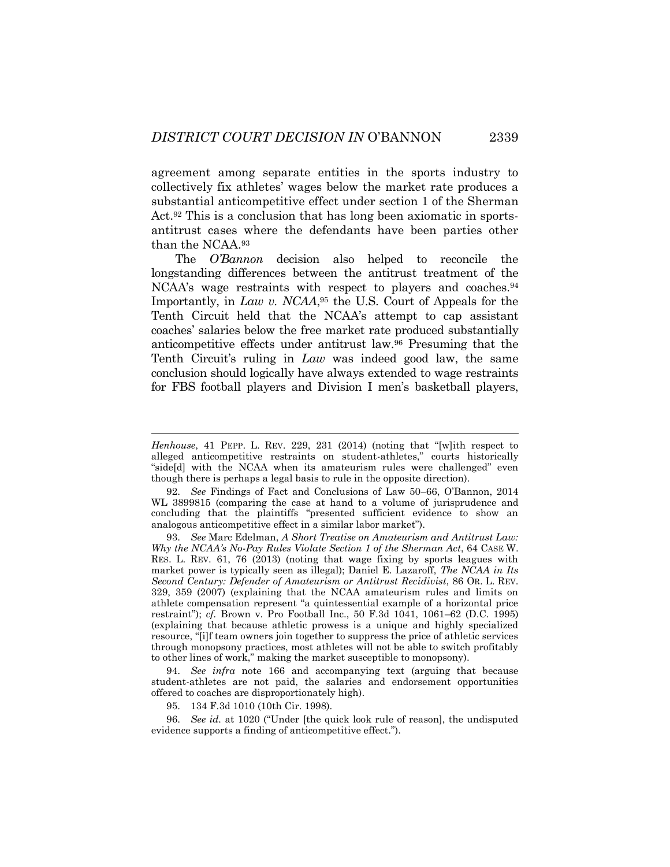agreement among separate entities in the sports industry to collectively fix athletes' wages below the market rate produces a substantial anticompetitive effect under section 1 of the Sherman Act.<sup>92</sup> This is a conclusion that has long been axiomatic in sportsantitrust cases where the defendants have been parties other than the NCAA.<sup>93</sup>

<span id="page-21-0"></span>The *O'Bannon* decision also helped to reconcile the longstanding differences between the antitrust treatment of the NCAA's wage restraints with respect to players and coaches.<sup>94</sup> Importantly, in *Law v. NCAA*, <sup>95</sup> the U.S. Court of Appeals for the Tenth Circuit held that the NCAA's attempt to cap assistant coaches' salaries below the free market rate produced substantially anticompetitive effects under antitrust law.<sup>96</sup> Presuming that the Tenth Circuit's ruling in *Law* was indeed good law, the same conclusion should logically have always extended to wage restraints for FBS football players and Division I men's basketball players,

93. *See* Marc Edelman, *A Short Treatise on Amateurism and Antitrust Law: Why the NCAA's No-Pay Rules Violate Section 1 of the Sherman Act*, 64 CASE W. RES. L. REV. 61, 76 (2013) (noting that wage fixing by sports leagues with market power is typically seen as illegal); Daniel E. Lazaroff, *The NCAA in Its Second Century: Defender of Amateurism or Antitrust Recidivist*, 86 OR. L. REV. 329, 359 (2007) (explaining that the NCAA amateurism rules and limits on athlete compensation represent "a quintessential example of a horizontal price restraint"); *cf.* Brown v. Pro Football Inc., 50 F.3d 1041, 1061–62 (D.C. 1995) (explaining that because athletic prowess is a unique and highly specialized resource, "[i]f team owners join together to suppress the price of athletic services through monopsony practices, most athletes will not be able to switch profitably to other lines of work," making the market susceptible to monopsony).

94. *See infra* note [166](#page-36-0) and accompanying text (arguing that because student-athletes are not paid, the salaries and endorsement opportunities offered to coaches are disproportionately high).

95. 134 F.3d 1010 (10th Cir. 1998).

l

96. *See id.* at 1020 ("Under [the quick look rule of reason], the undisputed evidence supports a finding of anticompetitive effect.").

*Henhouse*, 41 PEPP. L. REV. 229, 231 (2014) (noting that "[w]ith respect to alleged anticompetitive restraints on student-athletes," courts historically "side[d] with the NCAA when its amateurism rules were challenged" even though there is perhaps a legal basis to rule in the opposite direction).

<sup>92.</sup> *See* Findings of Fact and Conclusions of Law 50–66, O'Bannon, 2014 WL 3899815 (comparing the case at hand to a volume of jurisprudence and concluding that the plaintiffs "presented sufficient evidence to show an analogous anticompetitive effect in a similar labor market").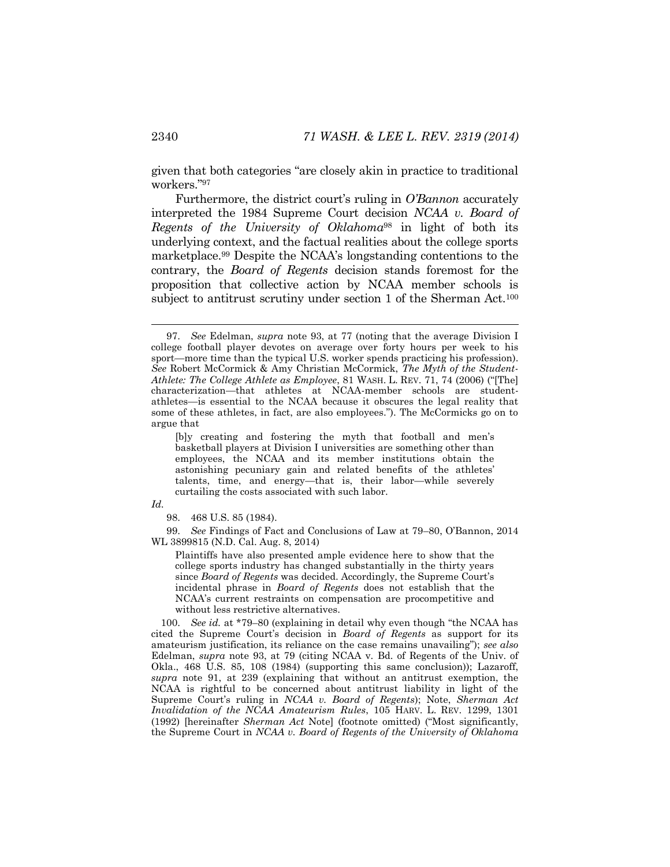given that both categories "are closely akin in practice to traditional workers."<sup>97</sup>

Furthermore, the district court's ruling in *O'Bannon* accurately interpreted the 1984 Supreme Court decision *NCAA v. Board of Regents of the University of Oklahoma*<sup>98</sup> in light of both its underlying context, and the factual realities about the college sports marketplace.<sup>99</sup> Despite the NCAA's longstanding contentions to the contrary, the *Board of Regents* decision stands foremost for the proposition that collective action by NCAA member schools is subject to antitrust scrutiny under section 1 of the Sherman Act.<sup>100</sup>

*Id.*

<span id="page-22-0"></span>

98. 468 U.S. 85 (1984).

99. *See* Findings of Fact and Conclusions of Law at 79–80, O'Bannon, 2014 WL 3899815 (N.D. Cal. Aug. 8, 2014)

Plaintiffs have also presented ample evidence here to show that the college sports industry has changed substantially in the thirty years since *Board of Regents* was decided. Accordingly, the Supreme Court's incidental phrase in *Board of Regents* does not establish that the NCAA's current restraints on compensation are procompetitive and without less restrictive alternatives.

100. *See id.* at \*79–80 (explaining in detail why even though "the NCAA has cited the Supreme Court's decision in *Board of Regents* as support for its amateurism justification, its reliance on the case remains unavailing"); *see also* Edelman, *supra* note [93,](#page-21-0) at 79 (citing NCAA v. Bd. of Regents of the Univ. of Okla., 468 U.S. 85, 108 (1984) (supporting this same conclusion)); Lazaroff, *supra* note [91,](#page-20-1) at 239 (explaining that without an antitrust exemption, the NCAA is rightful to be concerned about antitrust liability in light of the Supreme Court's ruling in *NCAA v. Board of Regents*); Note, *Sherman Act Invalidation of the NCAA Amateurism Rules*, 105 HARV. L. REV. 1299, 1301 (1992) [hereinafter *Sherman Act* Note] (footnote omitted) ("Most significantly, the Supreme Court in *NCAA v. Board of Regents of the University of Oklahoma*

<sup>97.</sup> *See* Edelman, *supra* note [93,](#page-21-0) at 77 (noting that the average Division I college football player devotes on average over forty hours per week to his sport—more time than the typical U.S. worker spends practicing his profession). *See* Robert McCormick & Amy Christian McCormick, *The Myth of the Student-Athlete: The College Athlete as Employee*, 81 WASH. L. REV. 71, 74 (2006) ("[The] characterization—that athletes at NCAA-member schools are studentathletes—is essential to the NCAA because it obscures the legal reality that some of these athletes, in fact, are also employees."). The McCormicks go on to argue that

<sup>[</sup>b]y creating and fostering the myth that football and men's basketball players at Division I universities are something other than employees, the NCAA and its member institutions obtain the astonishing pecuniary gain and related benefits of the athletes' talents, time, and energy—that is, their labor—while severely curtailing the costs associated with such labor.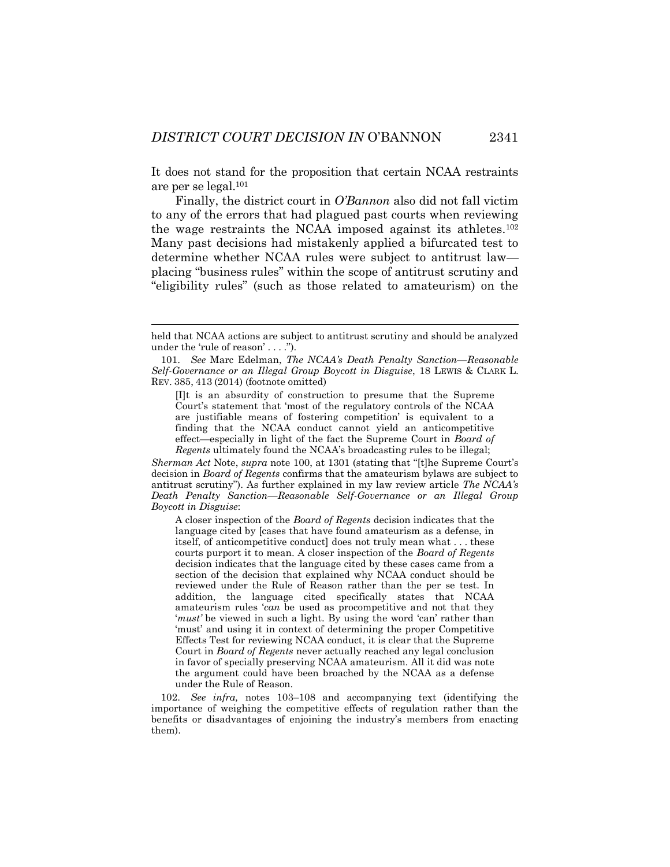It does not stand for the proposition that certain NCAA restraints are per se legal.<sup>101</sup>

Finally, the district court in *O'Bannon* also did not fall victim to any of the errors that had plagued past courts when reviewing the wage restraints the NCAA imposed against its athletes.<sup>102</sup> Many past decisions had mistakenly applied a bifurcated test to determine whether NCAA rules were subject to antitrust law placing "business rules" within the scope of antitrust scrutiny and "eligibility rules" (such as those related to amateurism) on the

[I]t is an absurdity of construction to presume that the Supreme Court's statement that 'most of the regulatory controls of the NCAA are justifiable means of fostering competition' is equivalent to a finding that the NCAA conduct cannot yield an anticompetitive effect—especially in light of the fact the Supreme Court in *Board of Regents* ultimately found the NCAA's broadcasting rules to be illegal;

*Sherman Act* Note, *supra* note [100,](#page-22-0) at 1301 (stating that "[t]he Supreme Court's decision in *Board of Regents* confirms that the amateurism bylaws are subject to antitrust scrutiny"). As further explained in my law review article *The NCAA's Death Penalty Sanction—Reasonable Self-Governance or an Illegal Group Boycott in Disguise*:

A closer inspection of the *Board of Regents* decision indicates that the language cited by [cases that have found amateurism as a defense, in itself, of anticompetitive conduct] does not truly mean what . . . these courts purport it to mean. A closer inspection of the *Board of Regents*  decision indicates that the language cited by these cases came from a section of the decision that explained why NCAA conduct should be reviewed under the Rule of Reason rather than the per se test. In addition, the language cited specifically states that NCAA amateurism rules '*can* be used as procompetitive and not that they '*must'* be viewed in such a light. By using the word 'can' rather than 'must' and using it in context of determining the proper Competitive Effects Test for reviewing NCAA conduct, it is clear that the Supreme Court in *Board of Regents* never actually reached any legal conclusion in favor of specially preserving NCAA amateurism. All it did was note the argument could have been broached by the NCAA as a defense under the Rule of Reason.

102. *See infra,* notes [103](#page-24-0)–[108](#page-25-1) and accompanying text (identifying the importance of weighing the competitive effects of regulation rather than the benefits or disadvantages of enjoining the industry's members from enacting them).

held that NCAA actions are subject to antitrust scrutiny and should be analyzed under the 'rule of reason' . . . .").

<sup>101.</sup> *See* Marc Edelman, *The NCAA's Death Penalty Sanction—Reasonable Self-Governance or an Illegal Group Boycott in Disguise*, 18 LEWIS & CLARK L. REV. 385, 413 (2014) (footnote omitted)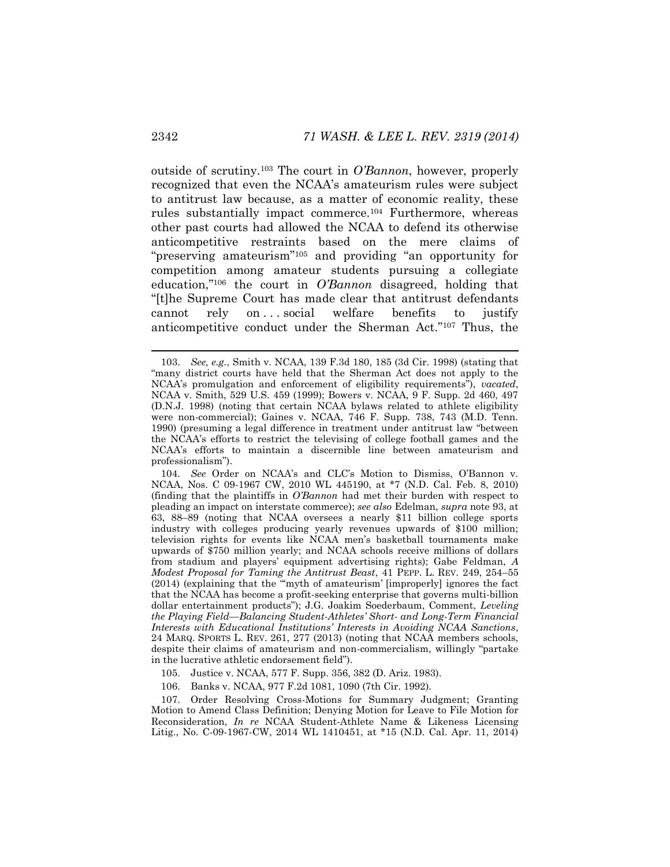<span id="page-24-1"></span><span id="page-24-0"></span>outside of scrutiny.<sup>103</sup> The court in *O'Bannon*, however, properly recognized that even the NCAA's amateurism rules were subject to antitrust law because, as a matter of economic reality, these rules substantially impact commerce.<sup>104</sup> Furthermore, whereas other past courts had allowed the NCAA to defend its otherwise anticompetitive restraints based on the mere claims of "preserving amateurism"<sup>105</sup> and providing "an opportunity for competition among amateur students pursuing a collegiate education,"<sup>106</sup> the court in *O'Bannon* disagreed, holding that "[t]he Supreme Court has made clear that antitrust defendants cannot rely on . . . social welfare benefits to justify anticompetitive conduct under the Sherman Act."<sup>107</sup> Thus, the

104. *See* Order on NCAA's and CLC's Motion to Dismiss, O'Bannon v. NCAA, Nos. C 09-1967 CW, 2010 WL 445190, at \*7 (N.D. Cal. Feb. 8, 2010) (finding that the plaintiffs in *O'Bannon* had met their burden with respect to pleading an impact on interstate commerce); *see also* Edelman, *supra* note [93,](#page-21-0) at 63, 88–89 (noting that NCAA oversees a nearly \$11 billion college sports industry with colleges producing yearly revenues upwards of \$100 million; television rights for events like NCAA men's basketball tournaments make upwards of \$750 million yearly; and NCAA schools receive millions of dollars from stadium and players' equipment advertising rights); Gabe Feldman, *A Modest Proposal for Taming the Antitrust Beast*, 41 PEPP. L. REV. 249, 254–55 (2014) (explaining that the "'myth of amateurism' [improperly] ignores the fact that the NCAA has become a profit-seeking enterprise that governs multi-billion dollar entertainment products"); J.G. Joakim Soederbaum, Comment, *Leveling the Playing Field—Balancing Student-Athletes' Short- and Long-Term Financial Interests with Educational Institutions' Interests in Avoiding NCAA Sanctions*, 24 MARQ. SPORTS L. REV. 261, 277 (2013) (noting that NCAA members schools, despite their claims of amateurism and non-commercialism, willingly "partake in the lucrative athletic endorsement field").

105. Justice v. NCAA, 577 F. Supp. 356, 382 (D. Ariz. 1983).

106. Banks v. NCAA, 977 F.2d 1081, 1090 (7th Cir. 1992).

107. Order Resolving Cross-Motions for Summary Judgment; Granting Motion to Amend Class Definition; Denying Motion for Leave to File Motion for Reconsideration, *In re* NCAA Student-Athlete Name & Likeness Licensing Litig., No. C-09-1967-CW, 2014 WL 1410451, at \*15 (N.D. Cal. Apr. 11, 2014)

<sup>103.</sup> *See, e.g.*, Smith v. NCAA, 139 F.3d 180, 185 (3d Cir. 1998) (stating that "many district courts have held that the Sherman Act does not apply to the NCAA's promulgation and enforcement of eligibility requirements"), *vacated*, NCAA v. Smith, 529 U.S. 459 (1999); Bowers v. NCAA, 9 F. Supp. 2d 460, 497 (D.N.J. 1998) (noting that certain NCAA bylaws related to athlete eligibility were non-commercial); Gaines v. NCAA, 746 F. Supp. 738, 743 (M.D. Tenn. 1990) (presuming a legal difference in treatment under antitrust law "between the NCAA's efforts to restrict the televising of college football games and the NCAA's efforts to maintain a discernible line between amateurism and professionalism").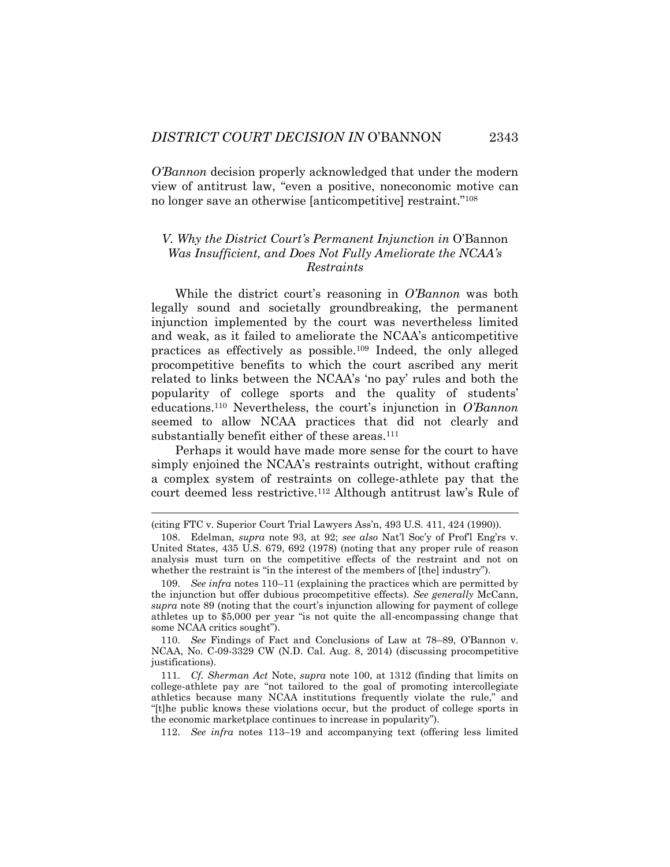*O'Bannon* decision properly acknowledged that under the modern view of antitrust law, "even a positive, noneconomic motive can no longer save an otherwise [anticompetitive] restraint."<sup>108</sup>

# <span id="page-25-1"></span>*V. Why the District Court's Permanent Injunction in* O'Bannon *Was Insufficient, and Does Not Fully Ameliorate the NCAA's Restraints*

<span id="page-25-0"></span>While the district court's reasoning in *O'Bannon* was both legally sound and societally groundbreaking, the permanent injunction implemented by the court was nevertheless limited and weak, as it failed to ameliorate the NCAA's anticompetitive practices as effectively as possible.<sup>109</sup> Indeed, the only alleged procompetitive benefits to which the court ascribed any merit related to links between the NCAA's 'no pay' rules and both the popularity of college sports and the quality of students' educations.<sup>110</sup> Nevertheless, the court's injunction in *O'Bannon* seemed to allow NCAA practices that did not clearly and substantially benefit either of these areas.<sup>111</sup>

<span id="page-25-2"></span>Perhaps it would have made more sense for the court to have simply enjoined the NCAA's restraints outright, without crafting a complex system of restraints on college-athlete pay that the court deemed less restrictive.<sup>112</sup> Although antitrust law's Rule of

l

<sup>(</sup>citing FTC v. Superior Court Trial Lawyers Ass'n, 493 U.S. 411, 424 (1990)).

<sup>108.</sup> Edelman, *supra* note [93,](#page-21-0) at 92; *see also* Nat'l Soc'y of Prof'l Eng'rs v. United States, 435 U.S. 679, 692 (1978) (noting that any proper rule of reason analysis must turn on the competitive effects of the restraint and not on whether the restraint is "in the interest of the members of [the] industry").

<sup>109.</sup> *See infra* notes [110](#page-25-2)–11 (explaining the practices which are permitted by the injunction but offer dubious procompetitive effects). *See generally* McCann, *supra* note [89](#page-20-2) (noting that the court's injunction allowing for payment of college athletes up to \$5,000 per year "is not quite the all-encompassing change that some NCAA critics sought").

<sup>110.</sup> *See* Findings of Fact and Conclusions of Law at 78–89, O'Bannon v. NCAA, No. C-09-3329 CW (N.D. Cal. Aug. 8, 2014) (discussing procompetitive justifications).

<sup>111.</sup> *Cf. Sherman Act* Note, *supra* note [100,](#page-22-0) at 1312 (finding that limits on college-athlete pay are "not tailored to the goal of promoting intercollegiate athletics because many NCAA institutions frequently violate the rule," and "[t]he public knows these violations occur, but the product of college sports in the economic marketplace continues to increase in popularity").

<sup>112.</sup> *See infra* notes [113](#page-26-0)–19 and accompanying text (offering less limited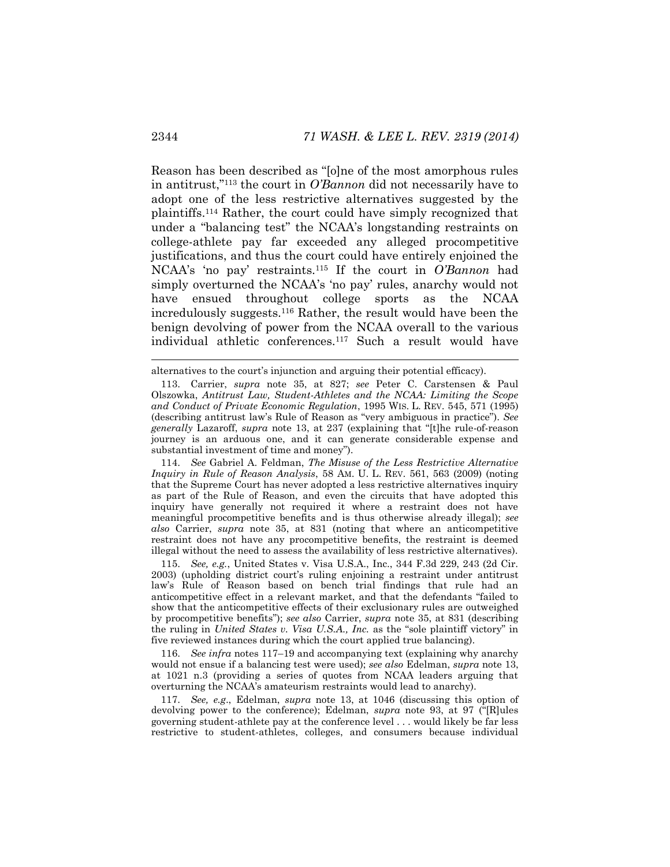<span id="page-26-0"></span>Reason has been described as "[o]ne of the most amorphous rules in antitrust,"<sup>113</sup> the court in *O'Bannon* did not necessarily have to adopt one of the less restrictive alternatives suggested by the plaintiffs.<sup>114</sup> Rather, the court could have simply recognized that under a "balancing test" the NCAA's longstanding restraints on college-athlete pay far exceeded any alleged procompetitive justifications, and thus the court could have entirely enjoined the NCAA's 'no pay' restraints.<sup>115</sup> If the court in *O'Bannon* had simply overturned the NCAA's 'no pay' rules, anarchy would not have ensued throughout college sports as the NCAA incredulously suggests.<sup>116</sup> Rather, the result would have been the benign devolving of power from the NCAA overall to the various individual athletic conferences.<sup>117</sup> Such a result would have

<span id="page-26-1"></span>alternatives to the court's injunction and arguing their potential efficacy).

114. *See* Gabriel A. Feldman, *The Misuse of the Less Restrictive Alternative Inquiry in Rule of Reason Analysis*, 58 AM. U. L. REV. 561, 563 (2009) (noting that the Supreme Court has never adopted a less restrictive alternatives inquiry as part of the Rule of Reason, and even the circuits that have adopted this inquiry have generally not required it where a restraint does not have meaningful procompetitive benefits and is thus otherwise already illegal); *see also* Carrier, *supra* note [35,](#page-9-0) at 831 (noting that where an anticompetitive restraint does not have any procompetitive benefits, the restraint is deemed illegal without the need to assess the availability of less restrictive alternatives).

115. *See, e.g.*, United States v. Visa U.S.A., Inc., 344 F.3d 229, 243 (2d Cir. 2003) (upholding district court's ruling enjoining a restraint under antitrust law's Rule of Reason based on bench trial findings that rule had an anticompetitive effect in a relevant market, and that the defendants "failed to show that the anticompetitive effects of their exclusionary rules are outweighed by procompetitive benefits"); *see also* Carrier, *supra* note [35,](#page-9-0) at 831 (describing the ruling in *United States v. Visa U.S.A., Inc.* as the "sole plaintiff victory" in five reviewed instances during which the court applied true balancing).

116. *See infra* notes [117](#page-26-1)–19 and accompanying text (explaining why anarchy would not ensue if a balancing test were used); *see also* Edelman, *supra* note [13,](#page-4-0)  at 1021 n.3 (providing a series of quotes from NCAA leaders arguing that overturning the NCAA's amateurism restraints would lead to anarchy).

117. *See, e.g*., Edelman, *supra* note [13,](#page-4-0) at 1046 (discussing this option of devolving power to the conference); Edelman, *supra* note [93](#page-21-0), at 97 ("[R]ules governing student-athlete pay at the conference level . . . would likely be far less restrictive to student-athletes, colleges, and consumers because individual

<sup>113.</sup> Carrier, *supra* note [35,](#page-9-0) at 827; *see* Peter C. Carstensen & Paul Olszowka, *Antitrust Law, Student-Athletes and the NCAA: Limiting the Scope and Conduct of Private Economic Regulation*, 1995 WIS. L. REV. 545, 571 (1995) (describing antitrust law's Rule of Reason as "very ambiguous in practice"). *See generally* Lazaroff, *supra* note [13](#page-4-0), at 237 (explaining that "[t]he rule-of-reason journey is an arduous one, and it can generate considerable expense and substantial investment of time and money").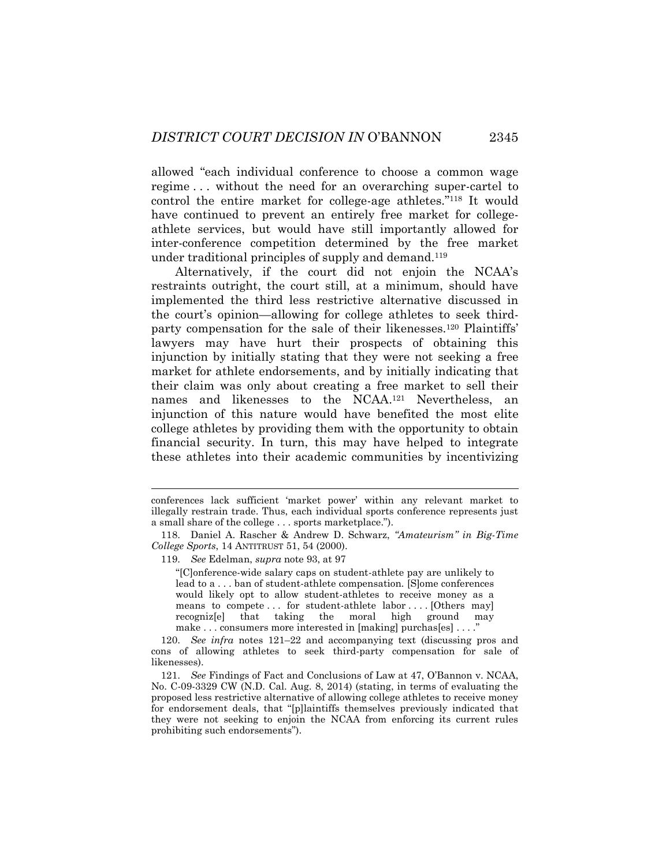allowed "each individual conference to choose a common wage regime . . . without the need for an overarching super-cartel to control the entire market for college-age athletes."<sup>118</sup> It would have continued to prevent an entirely free market for collegeathlete services, but would have still importantly allowed for inter-conference competition determined by the free market under traditional principles of supply and demand.<sup>119</sup>

Alternatively, if the court did not enjoin the NCAA's restraints outright, the court still, at a minimum, should have implemented the third less restrictive alternative discussed in the court's opinion—allowing for college athletes to seek thirdparty compensation for the sale of their likenesses.<sup>120</sup> Plaintiffs' lawyers may have hurt their prospects of obtaining this injunction by initially stating that they were not seeking a free market for athlete endorsements, and by initially indicating that their claim was only about creating a free market to sell their names and likenesses to the NCAA. <sup>121</sup> Nevertheless, an injunction of this nature would have benefited the most elite college athletes by providing them with the opportunity to obtain financial security. In turn, this may have helped to integrate these athletes into their academic communities by incentivizing

119. *See* Edelman, *supra* note [93,](#page-21-0) at 97

<span id="page-27-0"></span>

"[C]onference-wide salary caps on student-athlete pay are unlikely to lead to a . . . ban of student-athlete compensation. [S]ome conferences would likely opt to allow student-athletes to receive money as a means to compete ... for student-athlete labor ... . [Others may] recogniz[e] that taking the moral high ground may make . . . consumers more interested in [making] purchas[es] . . . ."

120. *See infra* notes [121](#page-27-0)–22 and accompanying text (discussing pros and cons of allowing athletes to seek third-party compensation for sale of likenesses).

121. *See* Findings of Fact and Conclusions of Law at 47, O'Bannon v. NCAA, No. C-09-3329 CW (N.D. Cal. Aug. 8, 2014) (stating, in terms of evaluating the proposed less restrictive alternative of allowing college athletes to receive money for endorsement deals, that "[p]laintiffs themselves previously indicated that they were not seeking to enjoin the NCAA from enforcing its current rules prohibiting such endorsements").

conferences lack sufficient 'market power' within any relevant market to illegally restrain trade. Thus, each individual sports conference represents just a small share of the college . . . sports marketplace.").

<sup>118.</sup> Daniel A. Rascher & Andrew D. Schwarz, *"Amateurism" in Big-Time College Sports*, 14 ANTITRUST 51, 54 (2000).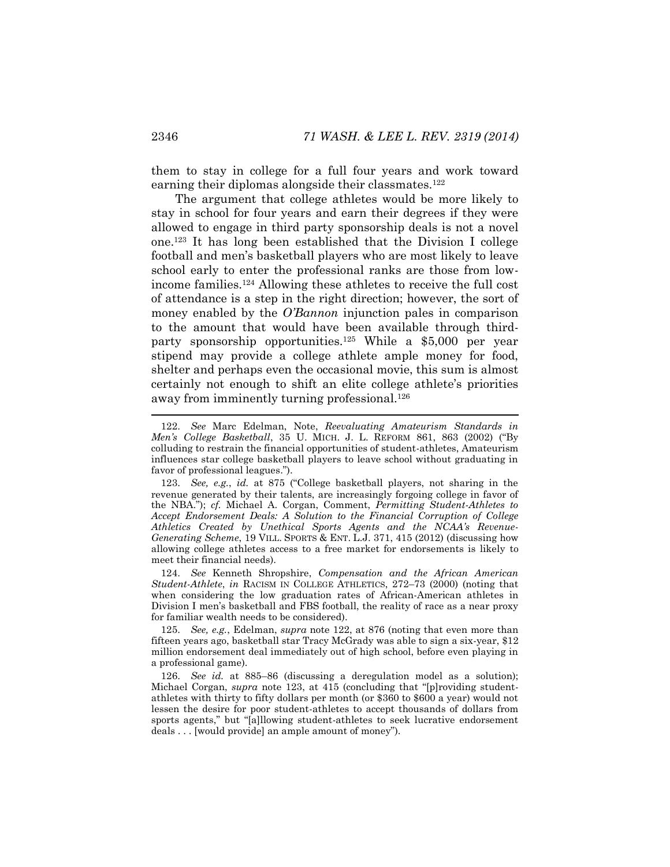<span id="page-28-0"></span>them to stay in college for a full four years and work toward earning their diplomas alongside their classmates.<sup>122</sup>

<span id="page-28-1"></span>The argument that college athletes would be more likely to stay in school for four years and earn their degrees if they were allowed to engage in third party sponsorship deals is not a novel one.<sup>123</sup> It has long been established that the Division I college football and men's basketball players who are most likely to leave school early to enter the professional ranks are those from lowincome families.<sup>124</sup> Allowing these athletes to receive the full cost of attendance is a step in the right direction; however, the sort of money enabled by the *O'Bannon* injunction pales in comparison to the amount that would have been available through thirdparty sponsorship opportunities.<sup>125</sup> While a \$5,000 per year stipend may provide a college athlete ample money for food, shelter and perhaps even the occasional movie, this sum is almost certainly not enough to shift an elite college athlete's priorities away from imminently turning professional.<sup>126</sup>

124. *See* Kenneth Shropshire, *Compensation and the African American Student-Athlete*, *in* RACISM IN COLLEGE ATHLETICS, 272–73 (2000) (noting that when considering the low graduation rates of African-American athletes in Division I men's basketball and FBS football, the reality of race as a near proxy for familiar wealth needs to be considered).

125. *See, e.g.*, Edelman, *supra* note [122,](#page-28-0) at 876 (noting that even more than fifteen years ago, basketball star Tracy McGrady was able to sign a six-year, \$12 million endorsement deal immediately out of high school, before even playing in a professional game).

126. *See id.* at 885–86 (discussing a deregulation model as a solution); Michael Corgan, *supra* note [123,](#page-28-1) at 415 (concluding that "[p]roviding studentathletes with thirty to fifty dollars per month (or \$360 to \$600 a year) would not lessen the desire for poor student-athletes to accept thousands of dollars from sports agents," but "[a]llowing student-athletes to seek lucrative endorsement deals . . . [would provide] an ample amount of money").

<span id="page-28-2"></span><sup>122.</sup> *See* Marc Edelman, Note, *Reevaluating Amateurism Standards in Men's College Basketball*, 35 U. MICH. J. L. REFORM 861, 863 (2002) ("By colluding to restrain the financial opportunities of student-athletes, Amateurism influences star college basketball players to leave school without graduating in favor of professional leagues.").

<sup>123.</sup> *See, e.g.*, *id.* at 875 ("College basketball players, not sharing in the revenue generated by their talents, are increasingly forgoing college in favor of the NBA."); *cf.* Michael A. Corgan, Comment, *Permitting Student-Athletes to Accept Endorsement Deals: A Solution to the Financial Corruption of College Athletics Created by Unethical Sports Agents and the NCAA's Revenue-Generating Scheme*, 19 VILL. SPORTS & ENT. L.J. 371, 415 (2012) (discussing how allowing college athletes access to a free market for endorsements is likely to meet their financial needs).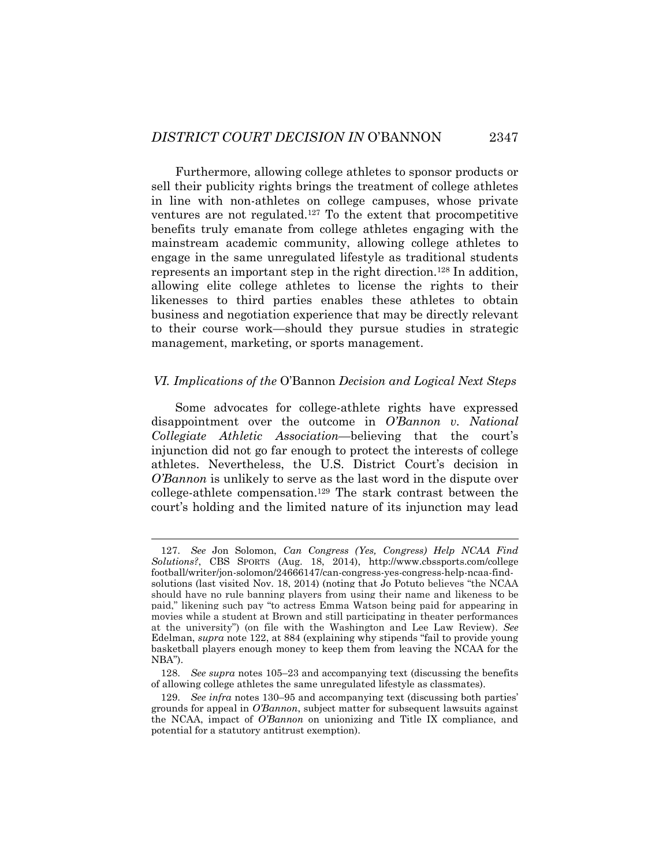Furthermore, allowing college athletes to sponsor products or sell their publicity rights brings the treatment of college athletes in line with non-athletes on college campuses, whose private ventures are not regulated.<sup>127</sup> To the extent that procompetitive benefits truly emanate from college athletes engaging with the mainstream academic community, allowing college athletes to engage in the same unregulated lifestyle as traditional students represents an important step in the right direction.<sup>128</sup> In addition, allowing elite college athletes to license the rights to their likenesses to third parties enables these athletes to obtain business and negotiation experience that may be directly relevant to their course work—should they pursue studies in strategic management, marketing, or sports management.

#### *VI. Implications of the* O'Bannon *Decision and Logical Next Steps*

Some advocates for college-athlete rights have expressed disappointment over the outcome in *O'Bannon v. National Collegiate Athletic Association*—believing that the court's injunction did not go far enough to protect the interests of college athletes. Nevertheless, the U.S. District Court's decision in *O'Bannon* is unlikely to serve as the last word in the dispute over college-athlete compensation.<sup>129</sup> The stark contrast between the court's holding and the limited nature of its injunction may lead

l

<sup>127.</sup> *See* Jon Solomon, *Can Congress (Yes, Congress) Help NCAA Find Solutions?*, CBS SPORTS (Aug. 18, 2014), http://www.cbssports.com/college football/writer/jon-solomon/24666147/can-congress-yes-congress-help-ncaa-findsolutions (last visited Nov. 18, 2014) (noting that Jo Potuto believes "the NCAA should have no rule banning players from using their name and likeness to be paid," likening such pay "to actress Emma Watson being paid for appearing in movies while a student at Brown and still participating in theater performances at the university") (on file with the Washington and Lee Law Review). *See*  Edelman, *supra* note [122](#page-28-0), at 884 (explaining why stipends "fail to provide young basketball players enough money to keep them from leaving the NCAA for the NBA").

<sup>128.</sup> *See supra* notes [105](#page-24-1)–23 and accompanying text (discussing the benefits of allowing college athletes the same unregulated lifestyle as classmates).

<sup>129.</sup> *See infra* notes [130](#page-30-0)–95 and accompanying text (discussing both parties' grounds for appeal in *O'Bannon*, subject matter for subsequent lawsuits against the NCAA, impact of *O'Bannon* on unionizing and Title IX compliance, and potential for a statutory antitrust exemption).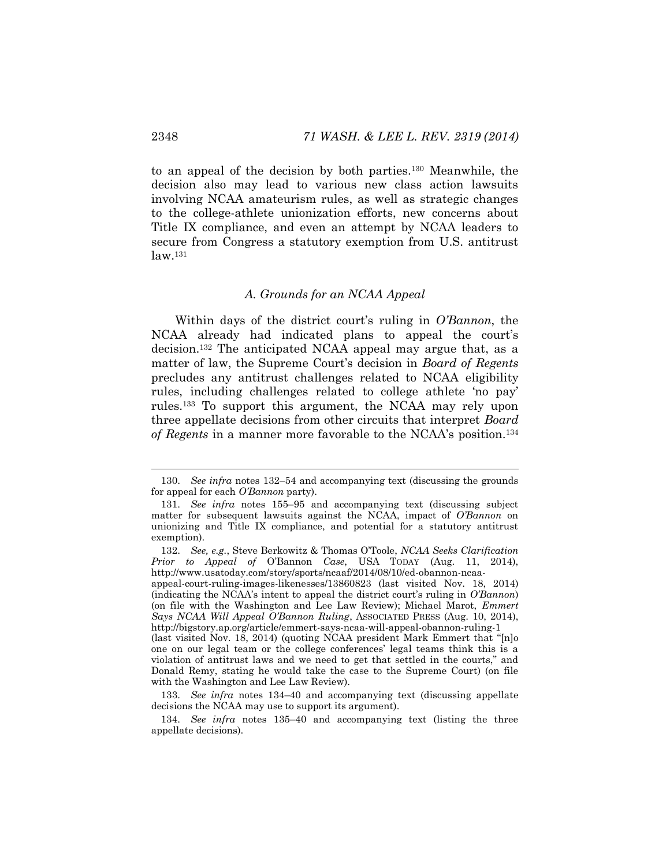to an appeal of the decision by both parties.<sup>130</sup> Meanwhile, the decision also may lead to various new class action lawsuits involving NCAA amateurism rules, as well as strategic changes to the college-athlete unionization efforts, new concerns about Title IX compliance, and even an attempt by NCAA leaders to secure from Congress a statutory exemption from U.S. antitrust  $law.<sup>131</sup>$ 

#### <span id="page-30-2"></span><span id="page-30-0"></span>*A. Grounds for an NCAA Appeal*

<span id="page-30-1"></span>Within days of the district court's ruling in *O'Bannon*, the NCAA already had indicated plans to appeal the court's decision.<sup>132</sup> The anticipated NCAA appeal may argue that, as a matter of law, the Supreme Court's decision in *Board of Regents*  precludes any antitrust challenges related to NCAA eligibility rules, including challenges related to college athlete 'no pay' rules.<sup>133</sup> To support this argument, the NCAA may rely upon three appellate decisions from other circuits that interpret *Board of Regents* in a manner more favorable to the NCAA's position.<sup>134</sup>

<sup>130.</sup> *See infra* notes [132](#page-30-1)–54 and accompanying text (discussing the grounds for appeal for each *O'Bannon* party).

<sup>131.</sup> *See infra* notes [155](#page-34-0)–95 and accompanying text (discussing subject matter for subsequent lawsuits against the NCAA, impact of *O'Bannon* on unionizing and Title IX compliance, and potential for a statutory antitrust exemption).

<sup>132.</sup> *See, e.g.*, Steve Berkowitz & Thomas O'Toole, *NCAA Seeks Clarification Prior to Appeal of* O'Bannon *Case*, USA TODAY (Aug. 11, 2014), http://www.usatoday.com/story/sports/ncaaf/2014/08/10/ed-obannon-ncaa-

appeal-court-ruling-images-likenesses/13860823 (last visited Nov. 18, 2014) (indicating the NCAA's intent to appeal the district court's ruling in *O'Bannon*) (on file with the Washington and Lee Law Review); Michael Marot, *Emmert Says NCAA Will Appeal O'Bannon Ruling*, ASSOCIATED PRESS (Aug. 10, 2014), http://bigstory.ap.org/article/emmert-says-ncaa-will-appeal-obannon-ruling-1

<sup>(</sup>last visited Nov. 18, 2014) (quoting NCAA president Mark Emmert that "[n]o one on our legal team or the college conferences' legal teams think this is a violation of antitrust laws and we need to get that settled in the courts," and Donald Remy, stating he would take the case to the Supreme Court) (on file with the Washington and Lee Law Review).

<sup>133.</sup> *See infra* notes [134](#page-30-2)–40 and accompanying text (discussing appellate decisions the NCAA may use to support its argument).

<sup>134.</sup> *See infra* notes [135](#page-31-0)–40 and accompanying text (listing the three appellate decisions).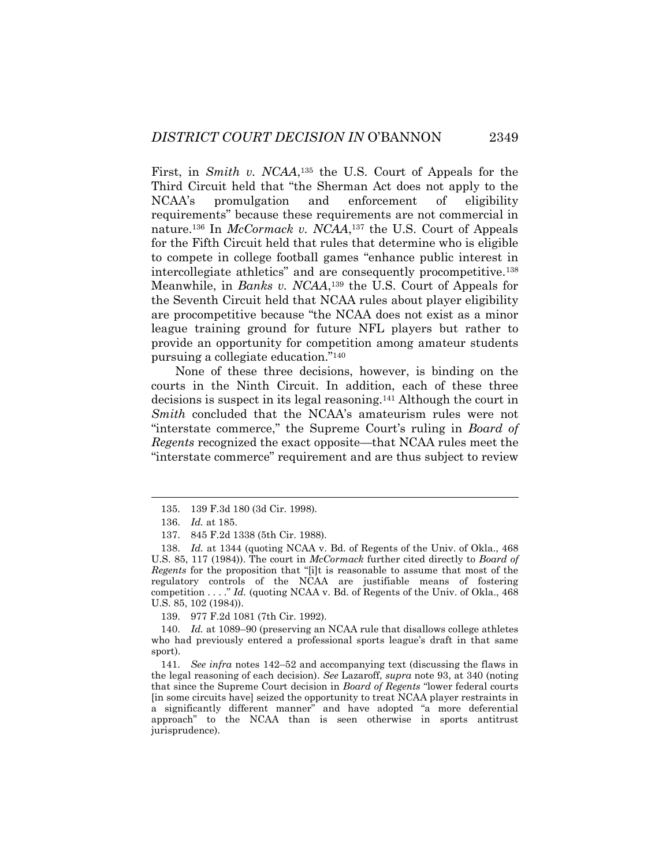<span id="page-31-0"></span>First, in *Smith v. NCAA*<sup>135</sup> the U.S. Court of Appeals for the Third Circuit held that "the Sherman Act does not apply to the NCAA's promulgation and enforcement of eligibility requirements" because these requirements are not commercial in nature.<sup>136</sup> In *McCormack v. NCAA*, <sup>137</sup> the U.S. Court of Appeals for the Fifth Circuit held that rules that determine who is eligible to compete in college football games "enhance public interest in intercollegiate athletics" and are consequently procompetitive.<sup>138</sup> Meanwhile, in *Banks v. NCAA*, <sup>139</sup> the U.S. Court of Appeals for the Seventh Circuit held that NCAA rules about player eligibility are procompetitive because "the NCAA does not exist as a minor league training ground for future NFL players but rather to provide an opportunity for competition among amateur students pursuing a collegiate education."<sup>140</sup>

None of these three decisions, however, is binding on the courts in the Ninth Circuit. In addition, each of these three decisions is suspect in its legal reasoning.<sup>141</sup> Although the court in *Smith* concluded that the NCAA's amateurism rules were not "interstate commerce," the Supreme Court's ruling in *Board of Regents* recognized the exact opposite—that NCAA rules meet the "interstate commerce" requirement and are thus subject to review

139. 977 F.2d 1081 (7th Cir. 1992).

140. *Id.* at 1089–90 (preserving an NCAA rule that disallows college athletes who had previously entered a professional sports league's draft in that same sport).

141. *See infra* notes [142](#page-32-0)–52 and accompanying text (discussing the flaws in the legal reasoning of each decision). *See* Lazaroff, *supra* note [93,](#page-21-0) at 340 (noting that since the Supreme Court decision in *Board of Regents* "lower federal courts [in some circuits have] seized the opportunity to treat NCAA player restraints in a significantly different manner" and have adopted "a more deferential approach" to the NCAA than is seen otherwise in sports antitrust jurisprudence).

<sup>135.</sup> 139 F.3d 180 (3d Cir. 1998).

<sup>136.</sup> *Id.* at 185.

<sup>137.</sup> 845 F.2d 1338 (5th Cir. 1988).

<sup>138.</sup> *Id.* at 1344 (quoting NCAA v. Bd. of Regents of the Univ. of Okla., 468 U.S. 85, 117 (1984)). The court in *McCormack* further cited directly to *Board of Regents* for the proposition that "[i]t is reasonable to assume that most of the regulatory controls of the NCAA are justifiable means of fostering competition . . . ." *Id.* (quoting NCAA v. Bd. of Regents of the Univ. of Okla., 468 U.S. 85, 102 (1984)).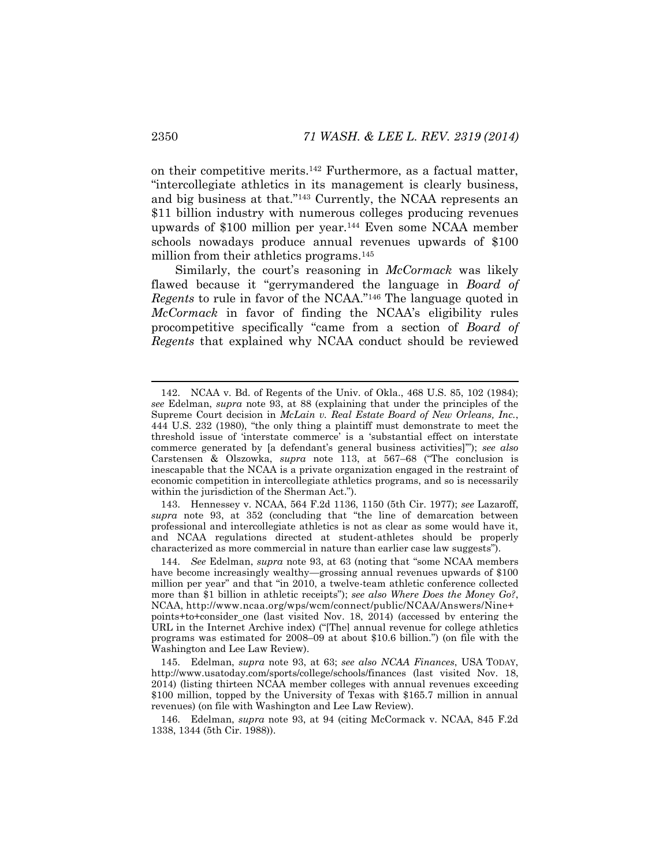<span id="page-32-0"></span>on their competitive merits.<sup>142</sup> Furthermore, as a factual matter, "intercollegiate athletics in its management is clearly business, and big business at that."<sup>143</sup> Currently, the NCAA represents an \$11 billion industry with numerous colleges producing revenues upwards of \$100 million per year.<sup>144</sup> Even some NCAA member schools nowadays produce annual revenues upwards of \$100 million from their athletics programs.<sup>145</sup>

Similarly, the court's reasoning in *McCormack* was likely flawed because it "gerrymandered the language in *Board of Regents* to rule in favor of the NCAA."<sup>146</sup> The language quoted in *McCormack* in favor of finding the NCAA's eligibility rules procompetitive specifically "came from a section of *Board of Regents* that explained why NCAA conduct should be reviewed

143. Hennessey v. NCAA, 564 F.2d 1136, 1150 (5th Cir. 1977); *see* Lazaroff, *supra* note [93](#page-21-0), at 352 (concluding that "the line of demarcation between professional and intercollegiate athletics is not as clear as some would have it, and NCAA regulations directed at student-athletes should be properly characterized as more commercial in nature than earlier case law suggests").

l

<sup>142.</sup> NCAA v. Bd. of Regents of the Univ. of Okla., 468 U.S. 85, 102 (1984); *see* Edelman, *supra* note [93,](#page-21-0) at 88 (explaining that under the principles of the Supreme Court decision in *McLain v. Real Estate Board of New Orleans, Inc.*, 444 U.S. 232 (1980), "the only thing a plaintiff must demonstrate to meet the threshold issue of 'interstate commerce' is a 'substantial effect on interstate commerce generated by [a defendant's general business activities]'"); *see also*  Carstensen & Olszowka, *supra* note [113,](#page-26-0) at 567–68 ("The conclusion is inescapable that the NCAA is a private organization engaged in the restraint of economic competition in intercollegiate athletics programs, and so is necessarily within the jurisdiction of the Sherman Act.").

<sup>144.</sup> *See* Edelman, *supra* note [93,](#page-21-0) at 63 (noting that "some NCAA members have become increasingly wealthy—grossing annual revenues upwards of \$100 million per year" and that "in 2010, a twelve-team athletic conference collected more than \$1 billion in athletic receipts"); *see also Where Does the Money Go?*, NCAA, http://www.ncaa.org/wps/wcm/connect/public/NCAA/Answers/Nine+ points+to+consider\_one (last visited Nov. 18, 2014) (accessed by entering the URL in the Internet Archive index) ("[The] annual revenue for college athletics programs was estimated for 2008–09 at about \$10.6 billion.") (on file with the Washington and Lee Law Review).

<sup>145.</sup> Edelman, *supra* note [93,](#page-21-0) at 63; *see also NCAA Finances*, USA TODAY, http://www.usatoday.com/sports/college/schools/finances (last visited Nov. 18, 2014) (listing thirteen NCAA member colleges with annual revenues exceeding \$100 million, topped by the University of Texas with \$165.7 million in annual revenues) (on file with Washington and Lee Law Review).

<sup>146.</sup> Edelman, *supra* note [93,](#page-21-0) at 94 (citing McCormack v. NCAA, 845 F.2d 1338, 1344 (5th Cir. 1988)).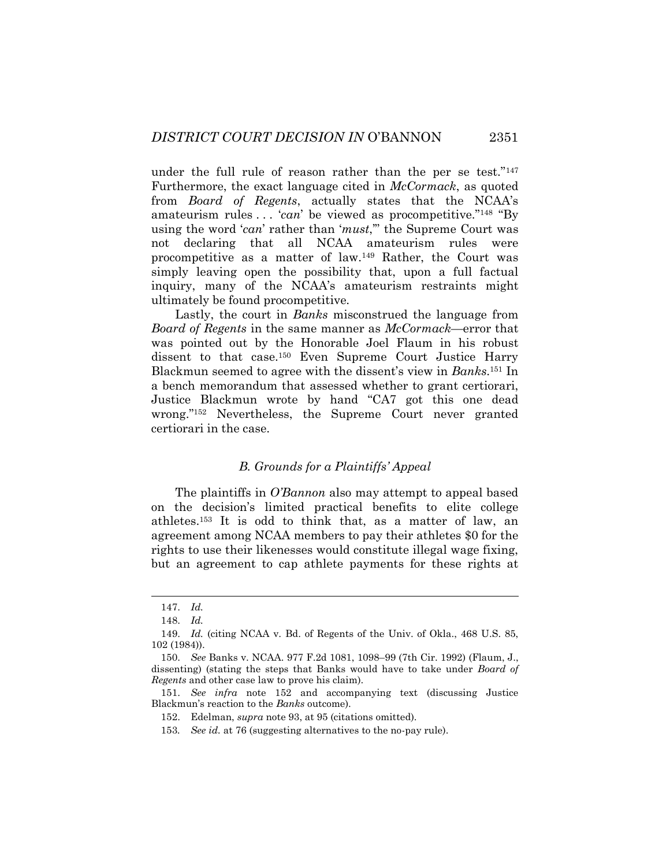under the full rule of reason rather than the per se test."<sup>147</sup> Furthermore, the exact language cited in *McCormack*, as quoted from *Board of Regents*, actually states that the NCAA's amateurism rules . . . '*can*' be viewed as procompetitive."<sup>148</sup> "By using the word '*can*' rather than '*must*,'" the Supreme Court was not declaring that all NCAA amateurism rules were procompetitive as a matter of law.<sup>149</sup> Rather, the Court was simply leaving open the possibility that, upon a full factual inquiry, many of the NCAA's amateurism restraints might ultimately be found procompetitive.

Lastly, the court in *Banks* misconstrued the language from *Board of Regents* in the same manner as *McCormack*—error that was pointed out by the Honorable Joel Flaum in his robust dissent to that case.<sup>150</sup> Even Supreme Court Justice Harry Blackmun seemed to agree with the dissent's view in *Banks*. <sup>151</sup> In a bench memorandum that assessed whether to grant certiorari, Justice Blackmun wrote by hand "CA7 got this one dead wrong."<sup>152</sup> Nevertheless, the Supreme Court never granted certiorari in the case.

#### <span id="page-33-0"></span>*B. Grounds for a Plaintiffs' Appeal*

The plaintiffs in *O'Bannon* also may attempt to appeal based on the decision's limited practical benefits to elite college athletes.<sup>153</sup> It is odd to think that, as a matter of law, an agreement among NCAA members to pay their athletes \$0 for the rights to use their likenesses would constitute illegal wage fixing, but an agreement to cap athlete payments for these rights at

<sup>147.</sup> *Id.*

<sup>148.</sup> *Id.*

<sup>149.</sup> *Id.* (citing NCAA v. Bd. of Regents of the Univ. of Okla., 468 U.S. 85, 102 (1984)).

<sup>150.</sup> *See* Banks v. NCAA. 977 F.2d 1081, 1098–99 (7th Cir. 1992) (Flaum, J., dissenting) (stating the steps that Banks would have to take under *Board of Regents* and other case law to prove his claim).

<sup>151.</sup> *See infra* note [152](#page-33-0) and accompanying text (discussing Justice Blackmun's reaction to the *Banks* outcome).

<sup>152.</sup> Edelman, *supra* not[e 93,](#page-21-0) at 95 (citations omitted).

<sup>153</sup>*. See id.* at 76 (suggesting alternatives to the no-pay rule).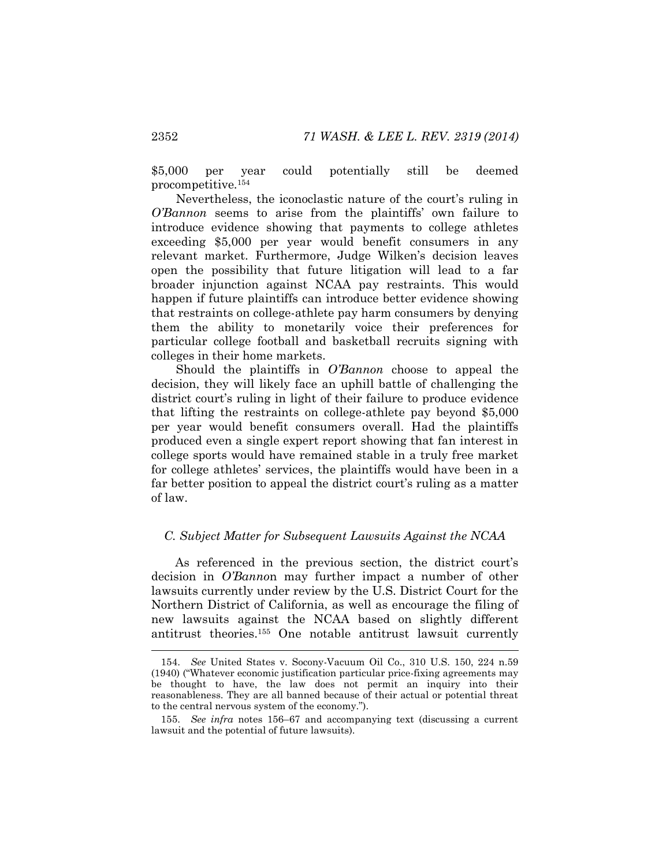\$5,000 per year could potentially still be deemed procompetitive.<sup>154</sup>

Nevertheless, the iconoclastic nature of the court's ruling in *O'Bannon* seems to arise from the plaintiffs' own failure to introduce evidence showing that payments to college athletes exceeding \$5,000 per year would benefit consumers in any relevant market. Furthermore, Judge Wilken's decision leaves open the possibility that future litigation will lead to a far broader injunction against NCAA pay restraints. This would happen if future plaintiffs can introduce better evidence showing that restraints on college-athlete pay harm consumers by denying them the ability to monetarily voice their preferences for particular college football and basketball recruits signing with colleges in their home markets.

Should the plaintiffs in *O'Bannon* choose to appeal the decision, they will likely face an uphill battle of challenging the district court's ruling in light of their failure to produce evidence that lifting the restraints on college-athlete pay beyond \$5,000 per year would benefit consumers overall. Had the plaintiffs produced even a single expert report showing that fan interest in college sports would have remained stable in a truly free market for college athletes' services, the plaintiffs would have been in a far better position to appeal the district court's ruling as a matter of law.

#### *C. Subject Matter for Subsequent Lawsuits Against the NCAA*

As referenced in the previous section, the district court's decision in *O'Banno*n may further impact a number of other lawsuits currently under review by the U.S. District Court for the Northern District of California, as well as encourage the filing of new lawsuits against the NCAA based on slightly different antitrust theories.<sup>155</sup> One notable antitrust lawsuit currently

<span id="page-34-0"></span>l

<sup>154.</sup> *See* United States v. Socony-Vacuum Oil Co., 310 U.S. 150, 224 n.59 (1940) ("Whatever economic justification particular price-fixing agreements may be thought to have, the law does not permit an inquiry into their reasonableness. They are all banned because of their actual or potential threat to the central nervous system of the economy.").

<sup>155.</sup> *See infra* notes [156](#page-35-0)–67 and accompanying text (discussing a current lawsuit and the potential of future lawsuits).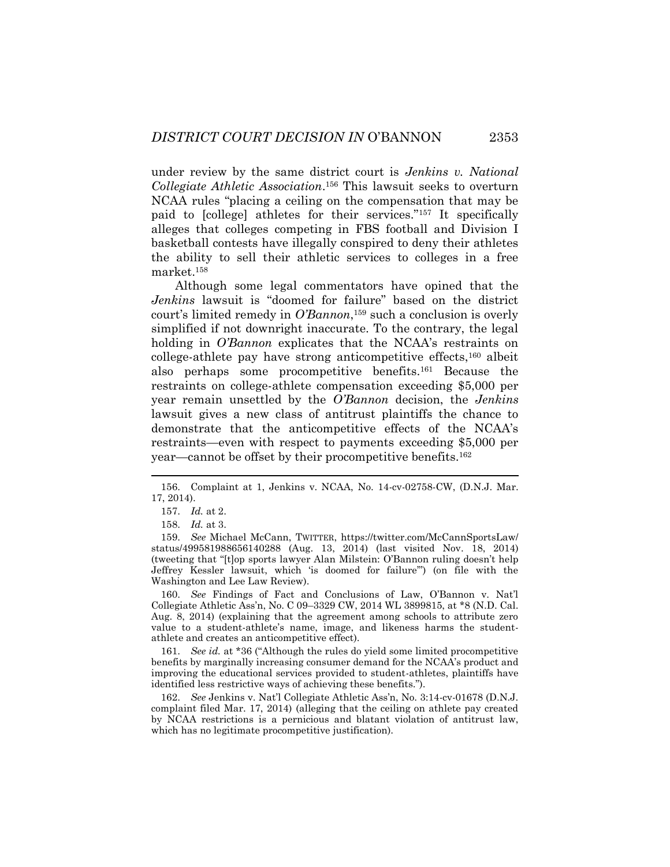<span id="page-35-0"></span>under review by the same district court is *Jenkins v. National Collegiate Athletic Association*. <sup>156</sup> This lawsuit seeks to overturn NCAA rules "placing a ceiling on the compensation that may be paid to [college] athletes for their services."<sup>157</sup> It specifically alleges that colleges competing in FBS football and Division I basketball contests have illegally conspired to deny their athletes the ability to sell their athletic services to colleges in a free market.<sup>158</sup>

Although some legal commentators have opined that the *Jenkins* lawsuit is "doomed for failure" based on the district court's limited remedy in *O'Bannon*, <sup>159</sup> such a conclusion is overly simplified if not downright inaccurate. To the contrary, the legal holding in *O'Bannon* explicates that the NCAA's restraints on college-athlete pay have strong anticompetitive effects,<sup>160</sup> albeit also perhaps some procompetitive benefits.<sup>161</sup> Because the restraints on college-athlete compensation exceeding \$5,000 per year remain unsettled by the *O'Bannon* decision, the *Jenkins* lawsuit gives a new class of antitrust plaintiffs the chance to demonstrate that the anticompetitive effects of the NCAA's restraints—even with respect to payments exceeding \$5,000 per year—cannot be offset by their procompetitive benefits.<sup>162</sup>

160. *See* Findings of Fact and Conclusions of Law, O'Bannon v. Nat'l Collegiate Athletic Ass'n, No. C 09–3329 CW, 2014 WL 3899815, at \*8 (N.D. Cal. Aug. 8, 2014) (explaining that the agreement among schools to attribute zero value to a student-athlete's name, image, and likeness harms the studentathlete and creates an anticompetitive effect).

161. *See id.* at \*36 ("Although the rules do yield some limited procompetitive benefits by marginally increasing consumer demand for the NCAA's product and improving the educational services provided to student-athletes, plaintiffs have identified less restrictive ways of achieving these benefits.").

162. *See* Jenkins v. Nat'l Collegiate Athletic Ass'n, No. 3:14-cv-01678 (D.N.J. complaint filed Mar. 17, 2014) (alleging that the ceiling on athlete pay created by NCAA restrictions is a pernicious and blatant violation of antitrust law, which has no legitimate procompetitive justification).

<sup>156.</sup> Complaint at 1, Jenkins v. NCAA, No. 14-cv-02758-CW, (D.N.J. Mar. 17, 2014).

<sup>157.</sup> *Id.* at 2.

<sup>158.</sup> *Id.* at 3.

<sup>159.</sup> *See* Michael McCann, TWITTER, https://twitter.com/McCannSportsLaw/ status/499581988656140288 (Aug. 13, 2014) (last visited Nov. 18, 2014) (tweeting that "[t]op sports lawyer Alan Milstein: O'Bannon ruling doesn't help Jeffrey Kessler lawsuit, which 'is doomed for failure'") (on file with the Washington and Lee Law Review).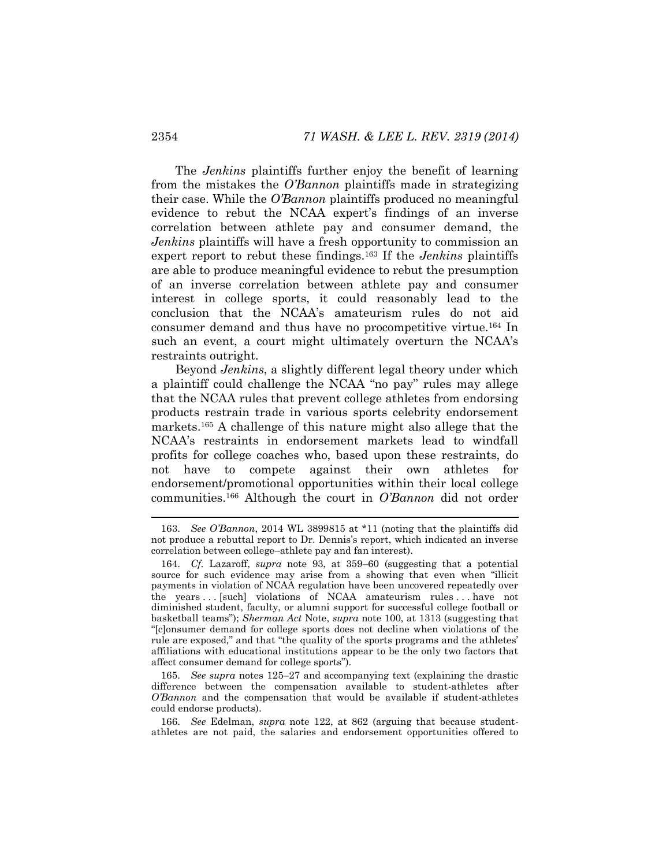The *Jenkins* plaintiffs further enjoy the benefit of learning from the mistakes the *O'Bannon* plaintiffs made in strategizing their case. While the *O'Bannon* plaintiffs produced no meaningful evidence to rebut the NCAA expert's findings of an inverse correlation between athlete pay and consumer demand, the *Jenkins* plaintiffs will have a fresh opportunity to commission an expert report to rebut these findings.<sup>163</sup> If the *Jenkins* plaintiffs are able to produce meaningful evidence to rebut the presumption of an inverse correlation between athlete pay and consumer interest in college sports, it could reasonably lead to the conclusion that the NCAA's amateurism rules do not aid consumer demand and thus have no procompetitive virtue.<sup>164</sup> In such an event, a court might ultimately overturn the NCAA's restraints outright.

Beyond *Jenkins*, a slightly different legal theory under which a plaintiff could challenge the NCAA "no pay" rules may allege that the NCAA rules that prevent college athletes from endorsing products restrain trade in various sports celebrity endorsement markets.<sup>165</sup> A challenge of this nature might also allege that the NCAA's restraints in endorsement markets lead to windfall profits for college coaches who, based upon these restraints, do not have to compete against their own athletes for endorsement/promotional opportunities within their local college communities.<sup>166</sup> Although the court in *O'Bannon* did not order

165. *See supra* notes [125](#page-28-2)–27 and accompanying text (explaining the drastic difference between the compensation available to student-athletes after *O'Bannon* and the compensation that would be available if student-athletes could endorse products).

166. *See* Edelman, *supra* note [122,](#page-28-0) at 862 (arguing that because studentathletes are not paid, the salaries and endorsement opportunities offered to

<span id="page-36-0"></span><sup>163.</sup> *See O'Bannon*, 2014 WL 3899815 at \*11 (noting that the plaintiffs did not produce a rebuttal report to Dr. Dennis's report, which indicated an inverse correlation between college–athlete pay and fan interest).

<sup>164.</sup> *Cf.* Lazaroff, *supra* note [93,](#page-21-0) at 359–60 (suggesting that a potential source for such evidence may arise from a showing that even when "illicit payments in violation of NCAA regulation have been uncovered repeatedly over the years ... [such] violations of NCAA amateurism rules ... have not diminished student, faculty, or alumni support for successful college football or basketball teams"); *Sherman Act* Note, *supra* note [100,](#page-22-0) at 1313 (suggesting that "[c]onsumer demand for college sports does not decline when violations of the rule are exposed," and that "the quality of the sports programs and the athletes' affiliations with educational institutions appear to be the only two factors that affect consumer demand for college sports").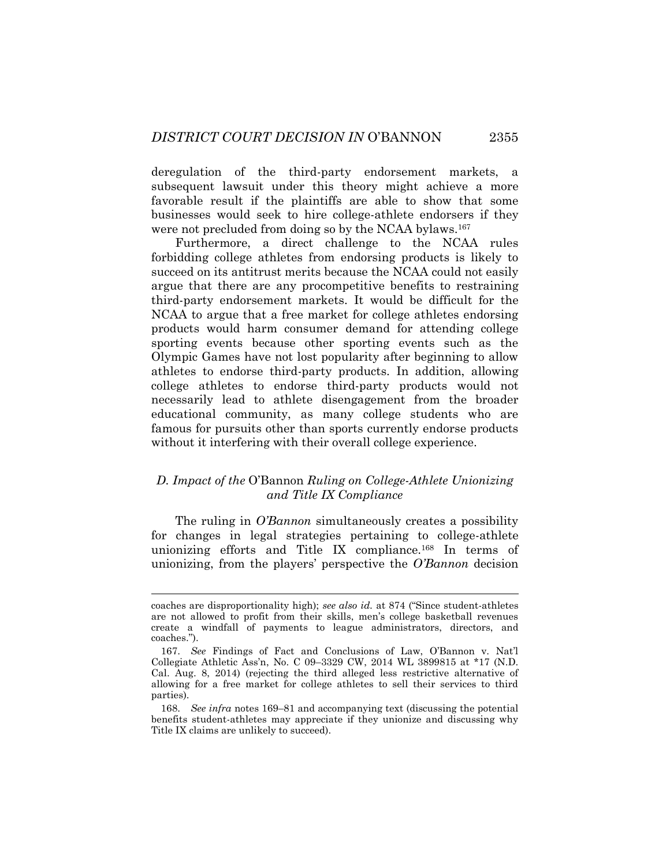deregulation of the third-party endorsement markets, a subsequent lawsuit under this theory might achieve a more favorable result if the plaintiffs are able to show that some businesses would seek to hire college-athlete endorsers if they were not precluded from doing so by the NCAA bylaws.<sup>167</sup>

Furthermore, a direct challenge to the NCAA rules forbidding college athletes from endorsing products is likely to succeed on its antitrust merits because the NCAA could not easily argue that there are any procompetitive benefits to restraining third-party endorsement markets. It would be difficult for the NCAA to argue that a free market for college athletes endorsing products would harm consumer demand for attending college sporting events because other sporting events such as the Olympic Games have not lost popularity after beginning to allow athletes to endorse third-party products. In addition, allowing college athletes to endorse third-party products would not necessarily lead to athlete disengagement from the broader educational community, as many college students who are famous for pursuits other than sports currently endorse products without it interfering with their overall college experience.

# *D. Impact of the* O'Bannon *Ruling on College-Athlete Unionizing and Title IX Compliance*

The ruling in *O'Bannon* simultaneously creates a possibility for changes in legal strategies pertaining to college-athlete unionizing efforts and Title IX compliance.<sup>168</sup> In terms of unionizing, from the players' perspective the *O'Bannon* decision

coaches are disproportionality high); *see also id.* at 874 ("Since student-athletes are not allowed to profit from their skills, men's college basketball revenues create a windfall of payments to league administrators, directors, and coaches.").

<sup>167.</sup> *See* Findings of Fact and Conclusions of Law, O'Bannon v. Nat'l Collegiate Athletic Ass'n, No. C 09–3329 CW, 2014 WL 3899815 at \*17 (N.D. Cal. Aug. 8, 2014) (rejecting the third alleged less restrictive alternative of allowing for a free market for college athletes to sell their services to third parties).

<sup>168.</sup> *See infra* notes [169](#page-38-0)–81 and accompanying text (discussing the potential benefits student-athletes may appreciate if they unionize and discussing why Title IX claims are unlikely to succeed).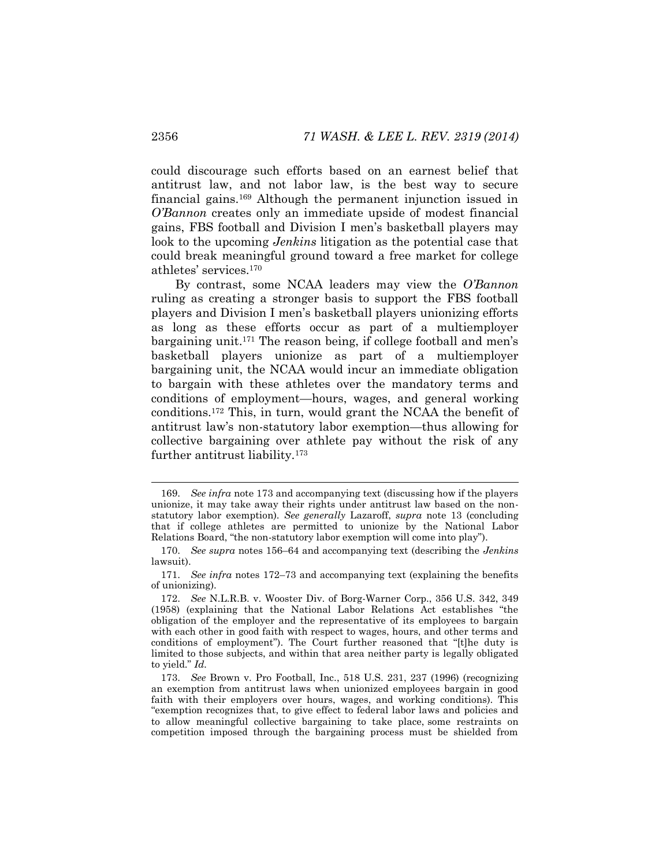<span id="page-38-0"></span>could discourage such efforts based on an earnest belief that antitrust law, and not labor law, is the best way to secure financial gains.<sup>169</sup> Although the permanent injunction issued in *O'Bannon* creates only an immediate upside of modest financial gains, FBS football and Division I men's basketball players may look to the upcoming *Jenkins* litigation as the potential case that could break meaningful ground toward a free market for college athletes' services.<sup>170</sup>

By contrast, some NCAA leaders may view the *O'Bannon* ruling as creating a stronger basis to support the FBS football players and Division I men's basketball players unionizing efforts as long as these efforts occur as part of a multiemployer bargaining unit.<sup>171</sup> The reason being, if college football and men's basketball players unionize as part of a multiemployer bargaining unit, the NCAA would incur an immediate obligation to bargain with these athletes over the mandatory terms and conditions of employment—hours, wages, and general working conditions.<sup>172</sup> This, in turn, would grant the NCAA the benefit of antitrust law's non-statutory labor exemption—thus allowing for collective bargaining over athlete pay without the risk of any further antitrust liability.<sup>173</sup>

<span id="page-38-2"></span><span id="page-38-1"></span><sup>169.</sup> *See infra* note [173](#page-38-1) and accompanying text (discussing how if the players unionize, it may take away their rights under antitrust law based on the nonstatutory labor exemption). *See generally* Lazaroff, *supra* note [13](#page-4-0) (concluding that if college athletes are permitted to unionize by the National Labor Relations Board, "the non-statutory labor exemption will come into play").

<sup>170.</sup> *See supra* notes [156](#page-35-0)–64 and accompanying text (describing the *Jenkins*  lawsuit).

<sup>171.</sup> *See infra* notes [172](#page-38-2)–73 and accompanying text (explaining the benefits of unionizing).

<sup>172.</sup> *See* N.L.R.B. v. Wooster Div. of Borg-Warner Corp., 356 U.S. 342, 349 (1958) (explaining that the National Labor Relations Act establishes "the obligation of the employer and the representative of its employees to bargain with each other in good faith with respect to wages, hours, and other terms and conditions of employment"). The Court further reasoned that "[t]he duty is limited to those subjects, and within that area neither party is legally obligated to yield." *Id.*

<sup>173.</sup> *See* Brown v. Pro Football, Inc., 518 U.S. 231, 237 (1996) (recognizing an exemption from antitrust laws when unionized employees bargain in good faith with their employers over hours, wages, and working conditions). This "exemption recognizes that, to give effect to federal labor laws and policies and to allow meaningful collective bargaining to take place, some restraints on competition imposed through the bargaining process must be shielded from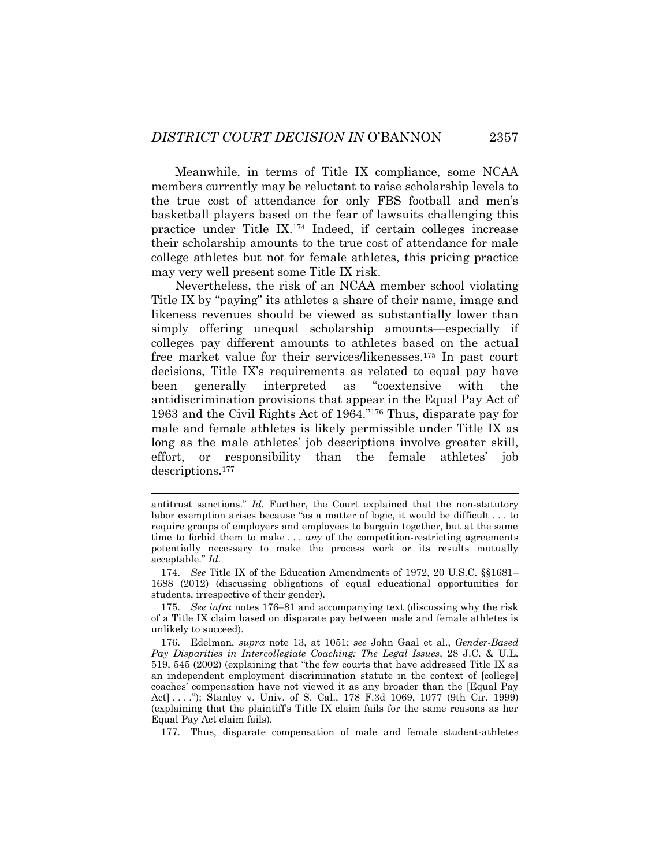Meanwhile, in terms of Title IX compliance, some NCAA members currently may be reluctant to raise scholarship levels to the true cost of attendance for only FBS football and men's basketball players based on the fear of lawsuits challenging this practice under Title IX.<sup>174</sup> Indeed, if certain colleges increase their scholarship amounts to the true cost of attendance for male college athletes but not for female athletes, this pricing practice may very well present some Title IX risk.

Nevertheless, the risk of an NCAA member school violating Title IX by "paying" its athletes a share of their name, image and likeness revenues should be viewed as substantially lower than simply offering unequal scholarship amounts—especially if colleges pay different amounts to athletes based on the actual free market value for their services/likenesses. <sup>175</sup> In past court decisions, Title IX's requirements as related to equal pay have been generally interpreted as "coextensive with the antidiscrimination provisions that appear in the Equal Pay Act of 1963 and the Civil Rights Act of 1964."<sup>176</sup> Thus, disparate pay for male and female athletes is likely permissible under Title IX as long as the male athletes' job descriptions involve greater skill, effort, or responsibility than the female athletes' job descriptions.<sup>177</sup>

<span id="page-39-0"></span>l

antitrust sanctions." *Id.* Further, the Court explained that the non-statutory labor exemption arises because "as a matter of logic, it would be difficult . . . to require groups of employers and employees to bargain together, but at the same time to forbid them to make . . . *any* of the competition-restricting agreements potentially necessary to make the process work or its results mutually acceptable." *Id.*

<sup>174.</sup> *See* Title IX of the Education Amendments of 1972, 20 U.S.C. §§1681– 1688 (2012) (discussing obligations of equal educational opportunities for students, irrespective of their gender).

<sup>175.</sup> *See infra* notes [176](#page-39-0)–81 and accompanying text (discussing why the risk of a Title IX claim based on disparate pay between male and female athletes is unlikely to succeed).

<sup>176.</sup> Edelman, *supra* note [13,](#page-4-0) at 1051; *see* John Gaal et al., *Gender-Based Pay Disparities in Intercollegiate Coaching: The Legal Issues*, 28 J.C. & U.L. 519, 545 (2002) (explaining that "the few courts that have addressed Title IX as an independent employment discrimination statute in the context of [college] coaches' compensation have not viewed it as any broader than the [Equal Pay Act] . . . ."); Stanley v. Univ. of S. Cal., 178 F.3d 1069, 1077 (9th Cir. 1999) (explaining that the plaintiff's Title IX claim fails for the same reasons as her Equal Pay Act claim fails).

<sup>177.</sup> Thus, disparate compensation of male and female student-athletes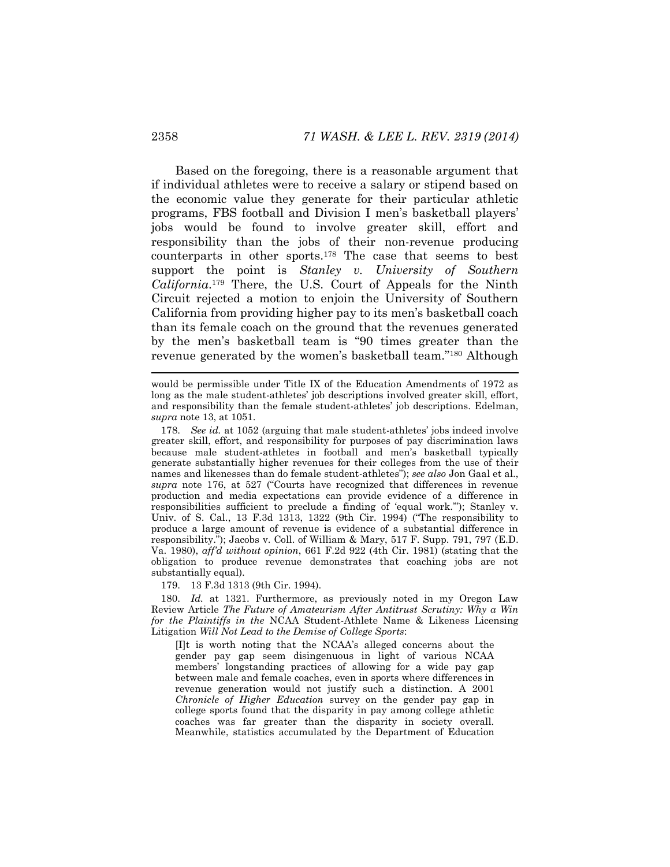Based on the foregoing, there is a reasonable argument that if individual athletes were to receive a salary or stipend based on the economic value they generate for their particular athletic programs, FBS football and Division I men's basketball players' jobs would be found to involve greater skill, effort and responsibility than the jobs of their non-revenue producing counterparts in other sports.<sup>178</sup> The case that seems to best support the point is *Stanley v. University of Southern California*. <sup>179</sup> There, the U.S. Court of Appeals for the Ninth Circuit rejected a motion to enjoin the University of Southern California from providing higher pay to its men's basketball coach than its female coach on the ground that the revenues generated by the men's basketball team is "90 times greater than the revenue generated by the women's basketball team."<sup>180</sup> Although

179. 13 F.3d 1313 (9th Cir. 1994).

180. *Id.* at 1321. Furthermore, as previously noted in my Oregon Law Review Article *The Future of Amateurism After Antitrust Scrutiny: Why a Win for the Plaintiffs in the* NCAA Student-Athlete Name & Likeness Licensing Litigation *Will Not Lead to the Demise of College Sports*:

[I]t is worth noting that the NCAA's alleged concerns about the gender pay gap seem disingenuous in light of various NCAA members' longstanding practices of allowing for a wide pay gap between male and female coaches, even in sports where differences in revenue generation would not justify such a distinction. A 2001 *Chronicle of Higher Education* survey on the gender pay gap in college sports found that the disparity in pay among college athletic coaches was far greater than the disparity in society overall. Meanwhile, statistics accumulated by the Department of Education

would be permissible under Title IX of the Education Amendments of 1972 as long as the male student-athletes' job descriptions involved greater skill, effort, and responsibility than the female student-athletes' job descriptions. Edelman, *supra* note [13,](#page-4-0) at 1051.

<sup>178.</sup> *See id.* at 1052 (arguing that male student-athletes' jobs indeed involve greater skill, effort, and responsibility for purposes of pay discrimination laws because male student-athletes in football and men's basketball typically generate substantially higher revenues for their colleges from the use of their names and likenesses than do female student-athletes"); *see also* Jon Gaal et al., *supra* note [176](#page-39-0), at 527 ("Courts have recognized that differences in revenue production and media expectations can provide evidence of a difference in responsibilities sufficient to preclude a finding of 'equal work.'"); Stanley v. Univ. of S. Cal., 13 F.3d 1313, 1322 (9th Cir. 1994) ("The responsibility to produce a large amount of revenue is evidence of a substantial difference in responsibility."); Jacobs v. Coll. of William & Mary, 517 F. Supp. 791, 797 (E.D. Va. 1980), *aff'd without opinion*, 661 F.2d 922 (4th Cir. 1981) (stating that the obligation to produce revenue demonstrates that coaching jobs are not substantially equal).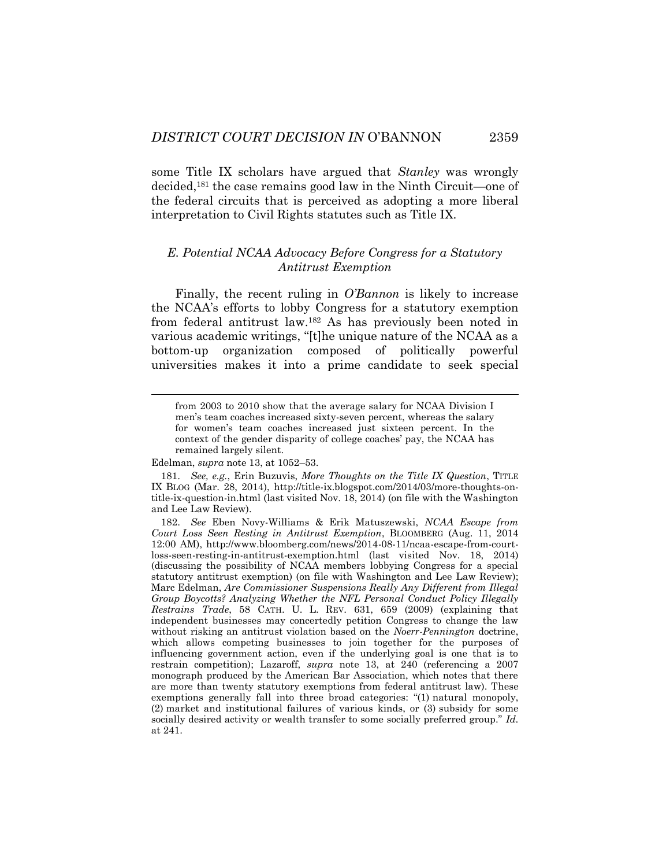some Title IX scholars have argued that *Stanley* was wrongly decided,<sup>181</sup> the case remains good law in the Ninth Circuit—one of the federal circuits that is perceived as adopting a more liberal interpretation to Civil Rights statutes such as Title IX.

# *E. Potential NCAA Advocacy Before Congress for a Statutory Antitrust Exemption*

Finally, the recent ruling in *O'Bannon* is likely to increase the NCAA's efforts to lobby Congress for a statutory exemption from federal antitrust law.<sup>182</sup> As has previously been noted in various academic writings, "[t]he unique nature of the NCAA as a bottom-up organization composed of politically powerful universities makes it into a prime candidate to seek special

Edelman, *supra* not[e 13,](#page-4-0) at 1052–53.

from 2003 to 2010 show that the average salary for NCAA Division I men's team coaches increased sixty-seven percent, whereas the salary for women's team coaches increased just sixteen percent. In the context of the gender disparity of college coaches' pay, the NCAA has remained largely silent.

<sup>181.</sup> *See, e.g.*, Erin Buzuvis, *More Thoughts on the Title IX Question*, TITLE IX BLOG (Mar. 28, 2014), http://title-ix.blogspot.com/2014/03/more-thoughts-ontitle-ix-question-in.html (last visited Nov. 18, 2014) (on file with the Washington and Lee Law Review).

<sup>182.</sup> *See* Eben Novy-Williams & Erik Matuszewski, *NCAA Escape from Court Loss Seen Resting in Antitrust Exemption*, BLOOMBERG (Aug. 11, 2014 12:00 AM), http://www.bloomberg.com/news/2014-08-11/ncaa-escape-from-courtloss-seen-resting-in-antitrust-exemption.html (last visited Nov. 18, 2014) (discussing the possibility of NCAA members lobbying Congress for a special statutory antitrust exemption) (on file with Washington and Lee Law Review); Marc Edelman, *Are Commissioner Suspensions Really Any Different from Illegal Group Boycotts? Analyzing Whether the NFL Personal Conduct Policy Illegally Restrains Trade*, 58 CATH. U. L. REV. 631, 659 (2009) (explaining that independent businesses may concertedly petition Congress to change the law without risking an antitrust violation based on the *Noerr-Pennington* doctrine, which allows competing businesses to join together for the purposes of influencing government action, even if the underlying goal is one that is to restrain competition); Lazaroff, *supra* note [13,](#page-4-0) at 240 (referencing a 2007 monograph produced by the American Bar Association, which notes that there are more than twenty statutory exemptions from federal antitrust law). These exemptions generally fall into three broad categories: "(1) natural monopoly, (2) market and institutional failures of various kinds, or (3) subsidy for some socially desired activity or wealth transfer to some socially preferred group." *Id.*  at 241.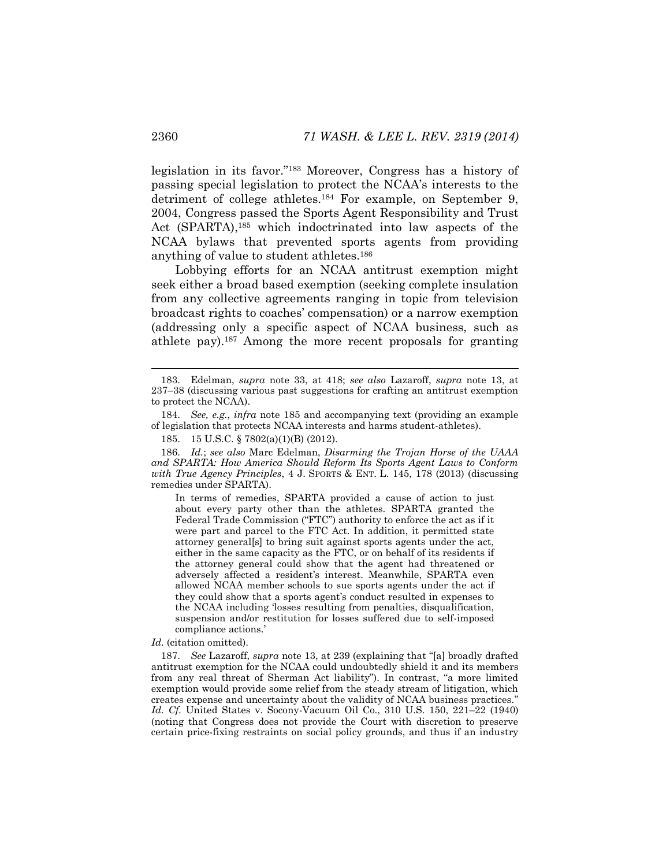legislation in its favor."<sup>183</sup> Moreover, Congress has a history of passing special legislation to protect the NCAA's interests to the detriment of college athletes.<sup>184</sup> For example, on September 9, 2004, Congress passed the Sports Agent Responsibility and Trust Act (SPARTA),<sup>185</sup> which indoctrinated into law aspects of the NCAA bylaws that prevented sports agents from providing anything of value to student athletes.<sup>186</sup>

<span id="page-42-0"></span>Lobbying efforts for an NCAA antitrust exemption might seek either a broad based exemption (seeking complete insulation from any collective agreements ranging in topic from television broadcast rights to coaches' compensation) or a narrow exemption (addressing only a specific aspect of NCAA business, such as athlete pay).<sup>187</sup> Among the more recent proposals for granting

186. *Id.*; *see also* Marc Edelman, *Disarming the Trojan Horse of the UAAA and SPARTA: How America Should Reform Its Sports Agent Laws to Conform with True Agency Principles*, 4 J. SPORTS & ENT. L. 145, 178 (2013) (discussing remedies under SPARTA).

In terms of remedies, SPARTA provided a cause of action to just about every party other than the athletes. SPARTA granted the Federal Trade Commission ("FTC") authority to enforce the act as if it were part and parcel to the FTC Act. In addition, it permitted state attorney general[s] to bring suit against sports agents under the act, either in the same capacity as the FTC, or on behalf of its residents if the attorney general could show that the agent had threatened or adversely affected a resident's interest. Meanwhile, SPARTA even allowed NCAA member schools to sue sports agents under the act if they could show that a sports agent's conduct resulted in expenses to the NCAA including 'losses resulting from penalties, disqualification, suspension and/or restitution for losses suffered due to self-imposed compliance actions.'

*Id.* (citation omitted).

187. *See* Lazaroff, *supra* note [13](#page-4-0), at 239 (explaining that "[a] broadly drafted antitrust exemption for the NCAA could undoubtedly shield it and its members from any real threat of Sherman Act liability"). In contrast, "a more limited exemption would provide some relief from the steady stream of litigation, which creates expense and uncertainty about the validity of NCAA business practices." *Id. Cf.* United States v. Socony-Vacuum Oil Co., 310 U.S. 150, 221–22 (1940) (noting that Congress does not provide the Court with discretion to preserve certain price-fixing restraints on social policy grounds, and thus if an industry

<sup>183.</sup> Edelman, *supra* note [33,](#page-8-0) at 418; *see also* Lazaroff, *supra* note [13,](#page-4-0) at 237–38 (discussing various past suggestions for crafting an antitrust exemption to protect the NCAA).

<sup>184.</sup> *See, e.g.*, *infra* note [185](#page-42-0) and accompanying text (providing an example of legislation that protects NCAA interests and harms student-athletes).

<sup>185.</sup> 15 U.S.C. § 7802(a)(1)(B) (2012).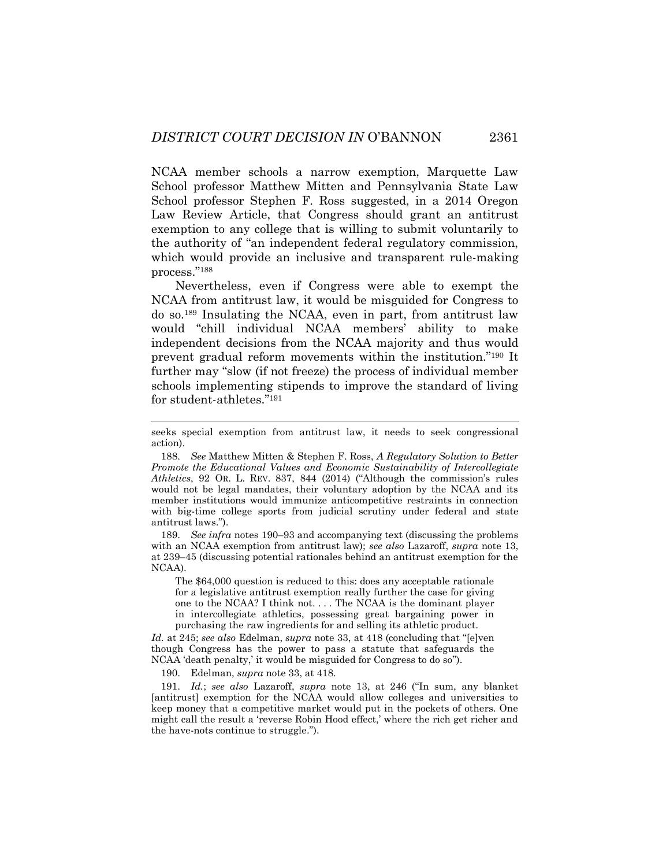NCAA member schools a narrow exemption, Marquette Law School professor Matthew Mitten and Pennsylvania State Law School professor Stephen F. Ross suggested, in a 2014 Oregon Law Review Article, that Congress should grant an antitrust exemption to any college that is willing to submit voluntarily to the authority of "an independent federal regulatory commission, which would provide an inclusive and transparent rule-making process."<sup>188</sup>

<span id="page-43-1"></span>Nevertheless, even if Congress were able to exempt the NCAA from antitrust law, it would be misguided for Congress to do so.<sup>189</sup> Insulating the NCAA, even in part, from antitrust law would "chill individual NCAA members' ability to make independent decisions from the NCAA majority and thus would prevent gradual reform movements within the institution."<sup>190</sup> It further may "slow (if not freeze) the process of individual member schools implementing stipends to improve the standard of living for student-athletes."<sup>191</sup>

189. *See infra* notes [190](#page-43-0)–93 and accompanying text (discussing the problems with an NCAA exemption from antitrust law); *see also* Lazaroff, *supra* note [13,](#page-4-0)  at 239–45 (discussing potential rationales behind an antitrust exemption for the NCAA).

The \$64,000 question is reduced to this: does any acceptable rationale for a legislative antitrust exemption really further the case for giving one to the NCAA? I think not. . . . The NCAA is the dominant player in intercollegiate athletics, possessing great bargaining power in purchasing the raw ingredients for and selling its athletic product.

*Id.* at 245; *see also* Edelman, *supra* note [33](#page-8-0), at 418 (concluding that "[e]ven though Congress has the power to pass a statute that safeguards the NCAA 'death penalty,' it would be misguided for Congress to do so").

190. Edelman, *supra* not[e 33,](#page-8-0) at 418.

<span id="page-43-0"></span>

191. *Id.*; *see also* Lazaroff, *supra* note [13](#page-4-0), at 246 ("In sum, any blanket [antitrust] exemption for the NCAA would allow colleges and universities to keep money that a competitive market would put in the pockets of others. One might call the result a 'reverse Robin Hood effect,' where the rich get richer and the have-nots continue to struggle.").

seeks special exemption from antitrust law, it needs to seek congressional action).

<sup>188.</sup> *See* Matthew Mitten & Stephen F. Ross, *A Regulatory Solution to Better Promote the Educational Values and Economic Sustainability of Intercollegiate Athletics*, 92 OR. L. REV. 837, 844 (2014) ("Although the commission's rules would not be legal mandates, their voluntary adoption by the NCAA and its member institutions would immunize anticompetitive restraints in connection with big-time college sports from judicial scrutiny under federal and state antitrust laws.").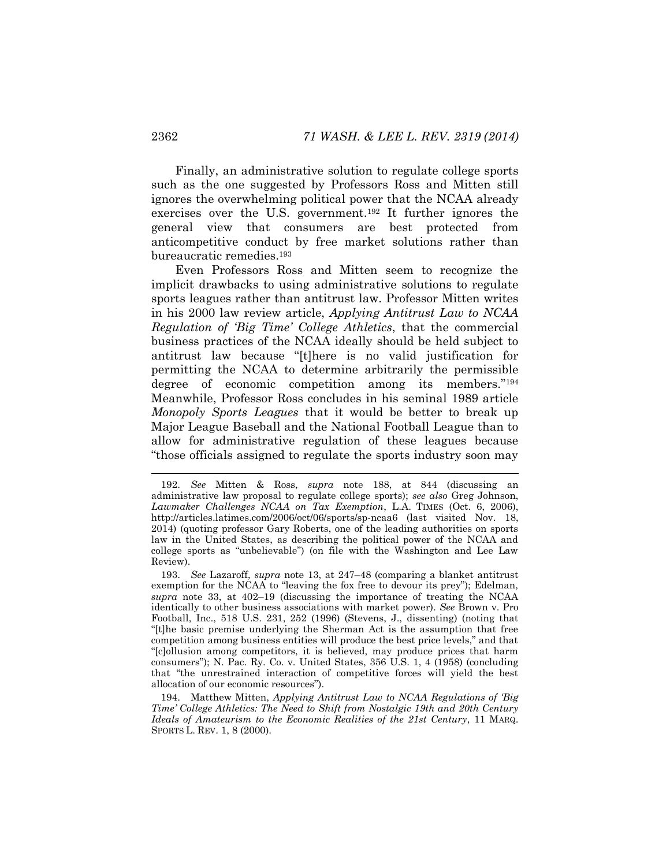Finally, an administrative solution to regulate college sports such as the one suggested by Professors Ross and Mitten still ignores the overwhelming political power that the NCAA already exercises over the U.S. government.<sup>192</sup> It further ignores the general view that consumers are best protected from anticompetitive conduct by free market solutions rather than bureaucratic remedies.<sup>193</sup>

Even Professors Ross and Mitten seem to recognize the implicit drawbacks to using administrative solutions to regulate sports leagues rather than antitrust law. Professor Mitten writes in his 2000 law review article, *Applying Antitrust Law to NCAA Regulation of 'Big Time' College Athletics*, that the commercial business practices of the NCAA ideally should be held subject to antitrust law because "[t]here is no valid justification for permitting the NCAA to determine arbitrarily the permissible degree of economic competition among its members."<sup>194</sup> Meanwhile, Professor Ross concludes in his seminal 1989 article *Monopoly Sports Leagues* that it would be better to break up Major League Baseball and the National Football League than to allow for administrative regulation of these leagues because "those officials assigned to regulate the sports industry soon may

<sup>192.</sup> *See* Mitten & Ross, *supra* note [188,](#page-43-1) at 844 (discussing an administrative law proposal to regulate college sports); *see also* Greg Johnson, *Lawmaker Challenges NCAA on Tax Exemption*, L.A. TIMES (Oct. 6, 2006), http://articles.latimes.com/2006/oct/06/sports/sp-ncaa6 (last visited Nov. 18, 2014) (quoting professor Gary Roberts, one of the leading authorities on sports law in the United States, as describing the political power of the NCAA and college sports as "unbelievable") (on file with the Washington and Lee Law Review).

<sup>193.</sup> *See* Lazaroff, *supra* note [13,](#page-4-0) at 247–48 (comparing a blanket antitrust exemption for the NCAA to "leaving the fox free to devour its prey"); Edelman, *supra* note [33,](#page-8-0) at 402–19 (discussing the importance of treating the NCAA identically to other business associations with market power). *See* Brown v. Pro Football, Inc., 518 U.S. 231, 252 (1996) (Stevens, J., dissenting) (noting that "[t]he basic premise underlying the Sherman Act is the assumption that free competition among business entities will produce the best price levels," and that "[c]ollusion among competitors, it is believed, may produce prices that harm consumers"); N. Pac. Ry. Co. v. United States, 356 U.S. 1, 4 (1958) (concluding that "the unrestrained interaction of competitive forces will yield the best allocation of our economic resources").

<sup>194.</sup> Matthew Mitten, *Applying Antitrust Law to NCAA Regulations of 'Big Time' College Athletics: The Need to Shift from Nostalgic 19th and 20th Century Ideals of Amateurism to the Economic Realities of the 21st Century*, 11 MARQ. SPORTS L. REV. 1, 8 (2000).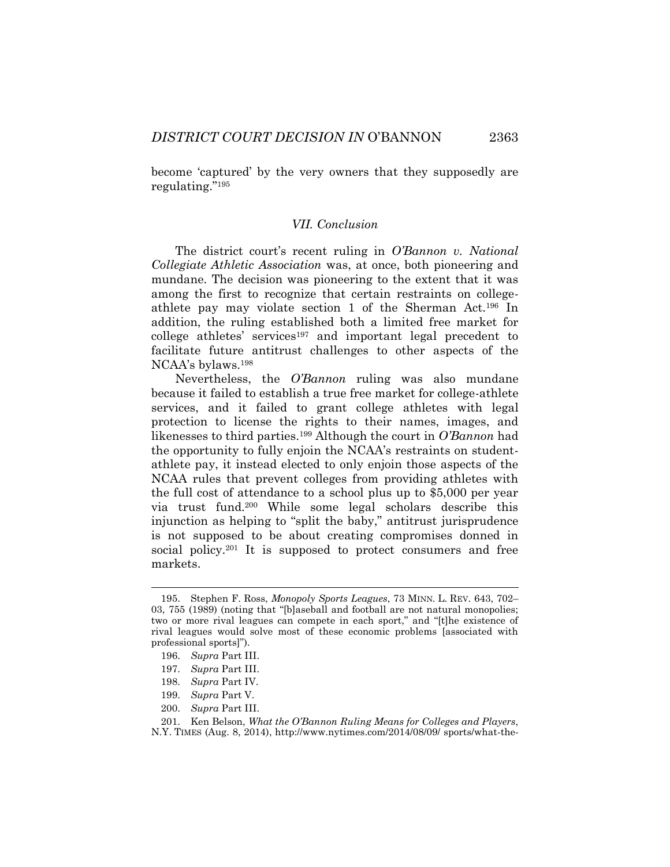become 'captured' by the very owners that they supposedly are regulating."<sup>195</sup>

#### *VII. Conclusion*

The district court's recent ruling in *O'Bannon v. National Collegiate Athletic Association* was, at once, both pioneering and mundane. The decision was pioneering to the extent that it was among the first to recognize that certain restraints on collegeathlete pay may violate section 1 of the Sherman Act.<sup>196</sup> In addition, the ruling established both a limited free market for college athletes' services<sup>197</sup> and important legal precedent to facilitate future antitrust challenges to other aspects of the NCAA's bylaws.<sup>198</sup>

Nevertheless, the *O'Bannon* ruling was also mundane because it failed to establish a true free market for college-athlete services, and it failed to grant college athletes with legal protection to license the rights to their names, images, and likenesses to third parties.<sup>199</sup> Although the court in *O'Bannon* had the opportunity to fully enjoin the NCAA's restraints on studentathlete pay, it instead elected to only enjoin those aspects of the NCAA rules that prevent colleges from providing athletes with the full cost of attendance to a school plus up to \$5,000 per year via trust fund.<sup>200</sup> While some legal scholars describe this injunction as helping to "split the baby," antitrust jurisprudence is not supposed to be about creating compromises donned in social policy.<sup>201</sup> It is supposed to protect consumers and free markets.

<sup>195.</sup> Stephen F. Ross, *Monopoly Sports Leagues*, 73 MINN. L. REV. 643, 702– 03, 755 (1989) (noting that "[b]aseball and football are not natural monopolies; two or more rival leagues can compete in each sport," and "[t]he existence of rival leagues would solve most of these economic problems [associated with professional sports]").

<sup>196.</sup> *Supra* Part III.

<sup>197.</sup> *Supra* Part III.

<sup>198.</sup> *Supra* Part IV.

<sup>199.</sup> *Supra* Part V.

<sup>200.</sup> *Supra* Part III.

<sup>201.</sup> Ken Belson, *What the O'Bannon Ruling Means for Colleges and Players*, N.Y. TIMES (Aug. 8, 2014), http://www.nytimes.com/2014/08/09/ sports/what-the-